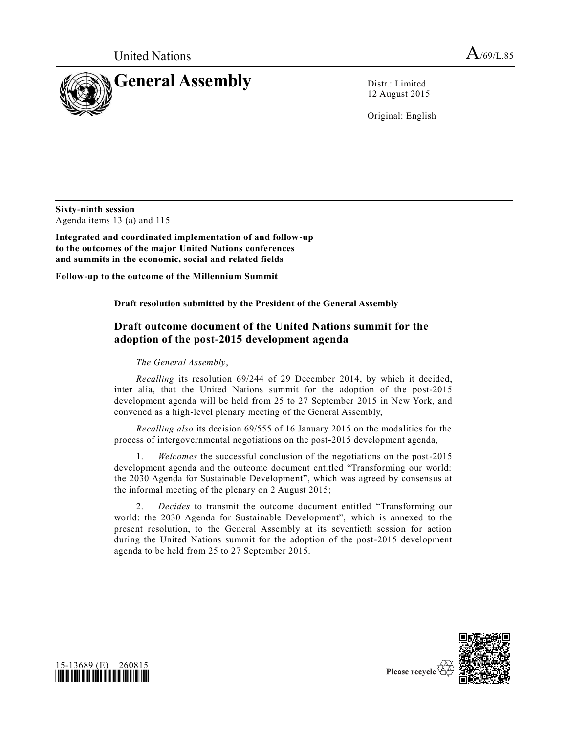

12 August 2015

Original: English

**Sixty-ninth session** Agenda items 13 (a) and 115

**Integrated and coordinated implementation of and follow-up to the outcomes of the major United Nations conferences and summits in the economic, social and related fields**

**Follow-up to the outcome of the Millennium Summit**

**Draft resolution submitted by the President of the General Assembly**

# **Draft outcome document of the United Nations summit for the adoption of the post-2015 development agenda**

#### *The General Assembly*,

*Recalling* its resolution 69/244 of 29 December 2014, by which it decided, inter alia, that the United Nations summit for the adoption of the post-2015 development agenda will be held from 25 to 27 September 2015 in New York, and convened as a high-level plenary meeting of the General Assembly,

*Recalling also* its decision 69/555 of 16 January 2015 on the modalities for the process of intergovernmental negotiations on the post-2015 development agenda,

1. *Welcomes* the successful conclusion of the negotiations on the post-2015 development agenda and the outcome document entitled "Transforming our world: the 2030 Agenda for Sustainable Development", which was agreed by consensus at the informal meeting of the plenary on 2 August 2015;

2. *Decides* to transmit the outcome document entitled "Transforming our world: the 2030 Agenda for Sustainable Development", which is annexed to the present resolution, to the General Assembly at its seventieth session for action during the United Nations summit for the adoption of the post-2015 development agenda to be held from 25 to 27 September 2015.



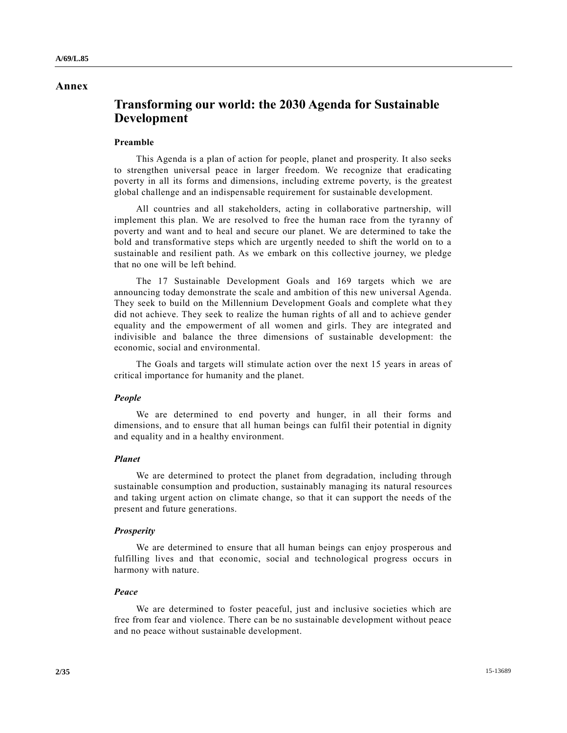# **Annex**

# **Transforming our world: the 2030 Agenda for Sustainable Development**

## **Preamble**

This Agenda is a plan of action for people, planet and prosperity. It also seeks to strengthen universal peace in larger freedom. We recognize that eradicating poverty in all its forms and dimensions, including extreme poverty, is the greatest global challenge and an indispensable requirement for sustainable development.

All countries and all stakeholders, acting in collaborative partnership, will implement this plan. We are resolved to free the human race from the tyranny of poverty and want and to heal and secure our planet. We are determined to take the bold and transformative steps which are urgently needed to shift the world on to a sustainable and resilient path. As we embark on this collective journey, we pledge that no one will be left behind.

The 17 Sustainable Development Goals and 169 targets which we are announcing today demonstrate the scale and ambition of this new universal Agenda. They seek to build on the Millennium Development Goals and complete what they did not achieve. They seek to realize the human rights of all and to achieve gender equality and the empowerment of all women and girls. They are integrated and indivisible and balance the three dimensions of sustainable development: the economic, social and environmental.

The Goals and targets will stimulate action over the next 15 years in areas of critical importance for humanity and the planet.

#### *People*

We are determined to end poverty and hunger, in all their forms and dimensions, and to ensure that all human beings can fulfil their potential in dignity and equality and in a healthy environment.

#### *Planet*

We are determined to protect the planet from degradation, including through sustainable consumption and production, sustainably managing its natural resources and taking urgent action on climate change, so that it can support the needs of the present and future generations.

#### *Prosperity*

We are determined to ensure that all human beings can enjoy prosperous and fulfilling lives and that economic, social and technological progress occurs in harmony with nature.

#### *Peace*

We are determined to foster peaceful, just and inclusive societies which are free from fear and violence. There can be no sustainable development without peace and no peace without sustainable development.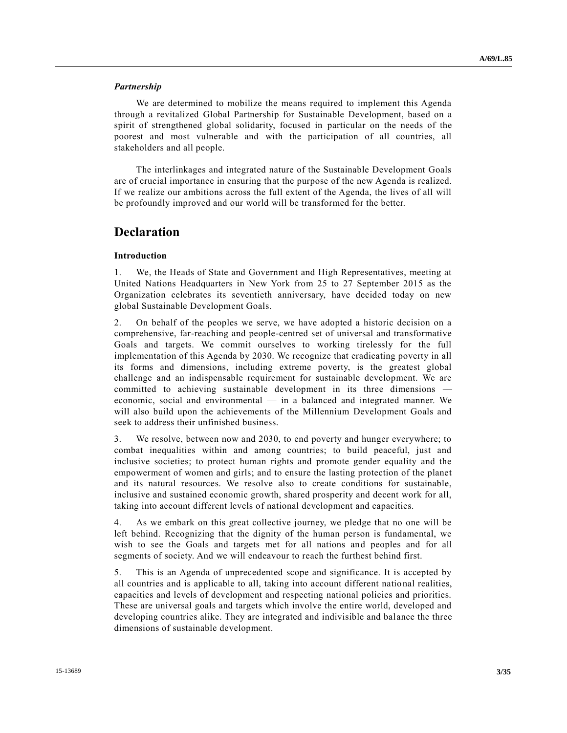#### *Partnership*

We are determined to mobilize the means required to implement this Agenda through a revitalized Global Partnership for Sustainable Development, based on a spirit of strengthened global solidarity, focused in particular on the needs of the poorest and most vulnerable and with the participation of all countries, all stakeholders and all people.

The interlinkages and integrated nature of the Sustainable Development Goals are of crucial importance in ensuring that the purpose of the new Agenda is realized. If we realize our ambitions across the full extent of the Agenda, the lives of all will be profoundly improved and our world will be transformed for the better.

# **Declaration**

# **Introduction**

1. We, the Heads of State and Government and High Representatives, meeting at United Nations Headquarters in New York from 25 to 27 September 2015 as the Organization celebrates its seventieth anniversary, have decided today on new global Sustainable Development Goals.

2. On behalf of the peoples we serve, we have adopted a historic decision on a comprehensive, far-reaching and people-centred set of universal and transformative Goals and targets. We commit ourselves to working tirelessly for the full implementation of this Agenda by 2030. We recognize that eradicating poverty in all its forms and dimensions, including extreme poverty, is the greatest global challenge and an indispensable requirement for sustainable development. We are committed to achieving sustainable development in its three dimensions economic, social and environmental — in a balanced and integrated manner. We will also build upon the achievements of the Millennium Development Goals and seek to address their unfinished business.

3. We resolve, between now and 2030, to end poverty and hunger everywhere; to combat inequalities within and among countries; to build peaceful, just and inclusive societies; to protect human rights and promote gender equality and the empowerment of women and girls; and to ensure the lasting protection of the planet and its natural resources. We resolve also to create conditions for sustainable, inclusive and sustained economic growth, shared prosperity and decent work for all, taking into account different levels of national development and capacities.

4. As we embark on this great collective journey, we pledge that no one will be left behind. Recognizing that the dignity of the human person is fundamental, we wish to see the Goals and targets met for all nations and peoples and for all segments of society. And we will endeavour to reach the furthest behind first.

5. This is an Agenda of unprecedented scope and significance. It is accepted by all countries and is applicable to all, taking into account different natio nal realities, capacities and levels of development and respecting national policies and priorities. These are universal goals and targets which involve the entire world, developed and developing countries alike. They are integrated and indivisible and balance the three dimensions of sustainable development.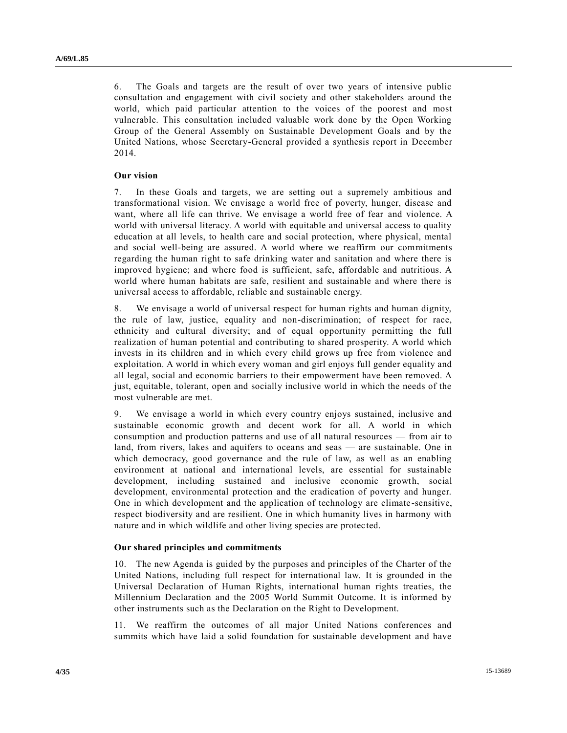6. The Goals and targets are the result of over two years of intensive public consultation and engagement with civil society and other stakeholders around the world, which paid particular attention to the voices of the poorest and most vulnerable. This consultation included valuable work done by the Open Working Group of the General Assembly on Sustainable Development Goals and by the United Nations, whose Secretary-General provided a synthesis report in December 2014.

#### **Our vision**

7. In these Goals and targets, we are setting out a supremely ambitious and transformational vision. We envisage a world free of poverty, hunger, disease and want, where all life can thrive. We envisage a world free of fear and violence. A world with universal literacy. A world with equitable and universal access to quality education at all levels, to health care and social protection, where physical, mental and social well-being are assured. A world where we reaffirm our commitments regarding the human right to safe drinking water and sanitation and where there is improved hygiene; and where food is sufficient, safe, affordable and nutritious. A world where human habitats are safe, resilient and sustainable and where there is universal access to affordable, reliable and sustainable energy.

8. We envisage a world of universal respect for human rights and human dignity, the rule of law, justice, equality and non-discrimination; of respect for race, ethnicity and cultural diversity; and of equal opportunity permitting the full realization of human potential and contributing to shared prosperity. A world which invests in its children and in which every child grows up free from violence and exploitation. A world in which every woman and girl enjoys full gender equality and all legal, social and economic barriers to their empowerment have been removed. A just, equitable, tolerant, open and socially inclusive world in which the needs of the most vulnerable are met.

9. We envisage a world in which every country enjoys sustained, inclusive and sustainable economic growth and decent work for all. A world in which consumption and production patterns and use of all natural resources — from air to land, from rivers, lakes and aquifers to oceans and seas — are sustainable. One in which democracy, good governance and the rule of law, as well as an enabling environment at national and international levels, are essential for sustainable development, including sustained and inclusive economic growth, social development, environmental protection and the eradication of poverty and hunger. One in which development and the application of technology are climate -sensitive, respect biodiversity and are resilient. One in which humanity lives in harmony with nature and in which wildlife and other living species are protec ted.

#### **Our shared principles and commitments**

10. The new Agenda is guided by the purposes and principles of the Charter of the United Nations, including full respect for international law. It is grounded in the Universal Declaration of Human Rights, international human rights treaties, the Millennium Declaration and the 2005 World Summit Outcome. It is informed by other instruments such as the Declaration on the Right to Development.

11. We reaffirm the outcomes of all major United Nations conferences and summits which have laid a solid foundation for sustainable development and have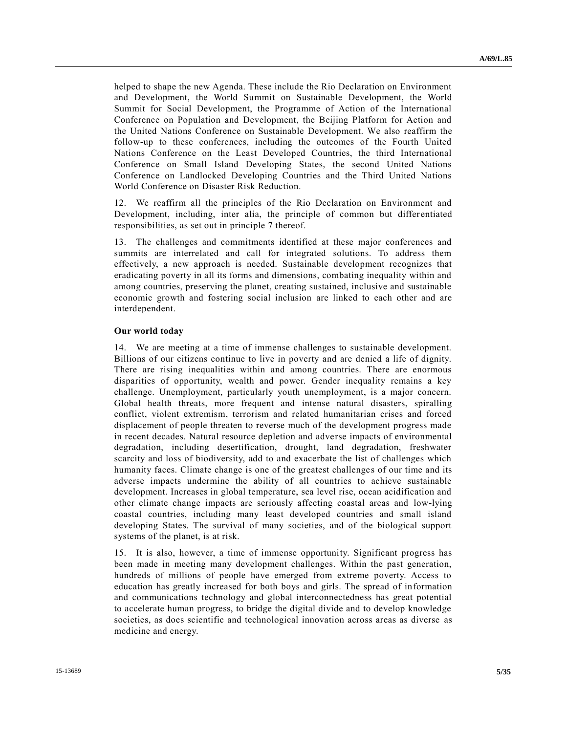helped to shape the new Agenda. These include the Rio Declaration on Environment and Development, the World Summit on Sustainable Development, the World Summit for Social Development, the Programme of Action of the International Conference on Population and Development, the Beijing Platform for Action and the United Nations Conference on Sustainable Development. We also reaffirm the follow-up to these conferences, including the outcomes of the Fourth United Nations Conference on the Least Developed Countries, the third International Conference on Small Island Developing States, the second United Nations Conference on Landlocked Developing Countries and the Third United Nations World Conference on Disaster Risk Reduction.

12. We reaffirm all the principles of the Rio Declaration on Environment and Development, including, inter alia, the principle of common but differentiated responsibilities, as set out in principle 7 thereof.

13. The challenges and commitments identified at these major conferences and summits are interrelated and call for integrated solutions. To address them effectively, a new approach is needed. Sustainable development recognizes that eradicating poverty in all its forms and dimensions, combating inequality within and among countries, preserving the planet, creating sustained, inclusive and sustainable economic growth and fostering social inclusion are linked to each other and are interdependent.

## **Our world today**

14. We are meeting at a time of immense challenges to sustainable development. Billions of our citizens continue to live in poverty and are denied a life of dignity. There are rising inequalities within and among countries. There are enormous disparities of opportunity, wealth and power. Gender inequality remains a key challenge. Unemployment, particularly youth unemployment, is a major concern. Global health threats, more frequent and intense natural disasters, spiralling conflict, violent extremism, terrorism and related humanitarian crises and forced displacement of people threaten to reverse much of the development progress made in recent decades. Natural resource depletion and adverse impacts of environmental degradation, including desertification, drought, land degradation, freshwater scarcity and loss of biodiversity, add to and exacerbate the list of challenges which humanity faces. Climate change is one of the greatest challenges of our time and its adverse impacts undermine the ability of all countries to achieve sustainable development. Increases in global temperature, sea level rise, ocean acidification and other climate change impacts are seriously affecting coastal areas and low-lying coastal countries, including many least developed countries and small island developing States. The survival of many societies, and of the biological support systems of the planet, is at risk.

15. It is also, however, a time of immense opportunity. Significant progress has been made in meeting many development challenges. Within the past generation, hundreds of millions of people have emerged from extreme poverty. Access to education has greatly increased for both boys and girls. The spread of information and communications technology and global interconnectedness has great potential to accelerate human progress, to bridge the digital divide and to develop knowledge societies, as does scientific and technological innovation across areas as diverse as medicine and energy.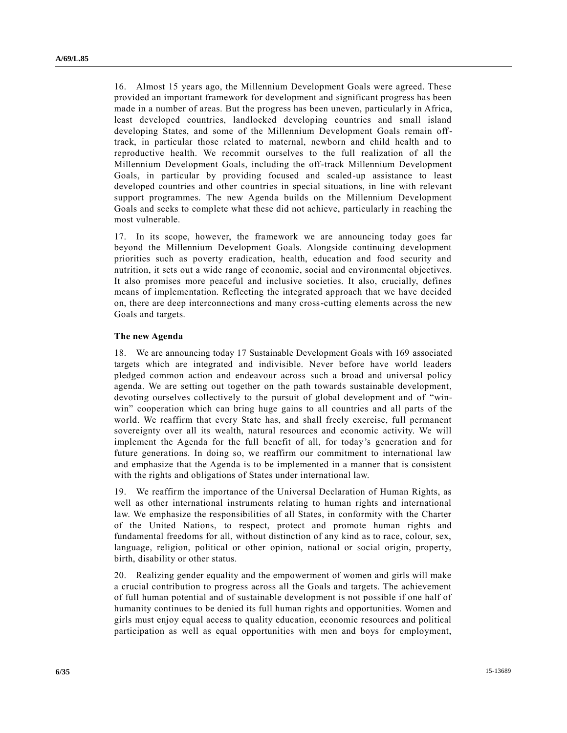16. Almost 15 years ago, the Millennium Development Goals were agreed. These provided an important framework for development and significant progress has been made in a number of areas. But the progress has been uneven, particularly in Africa, least developed countries, landlocked developing countries and small island developing States, and some of the Millennium Development Goals remain offtrack, in particular those related to maternal, newborn and child health and to reproductive health. We recommit ourselves to the full realization of all the Millennium Development Goals, including the off-track Millennium Development Goals, in particular by providing focused and scaled-up assistance to least developed countries and other countries in special situations, in line with relevant support programmes. The new Agenda builds on the Millennium Development Goals and seeks to complete what these did not achieve, particularly in reaching the most vulnerable.

17. In its scope, however, the framework we are announcing today goes far beyond the Millennium Development Goals. Alongside continuing development priorities such as poverty eradication, health, education and food security and nutrition, it sets out a wide range of economic, social and environmental objectives. It also promises more peaceful and inclusive societies. It also, crucially, defines means of implementation. Reflecting the integrated approach that we have decided on, there are deep interconnections and many cross-cutting elements across the new Goals and targets.

#### **The new Agenda**

18. We are announcing today 17 Sustainable Development Goals with 169 associated targets which are integrated and indivisible. Never before have world leaders pledged common action and endeavour across such a broad and universal policy agenda. We are setting out together on the path towards sustainable development, devoting ourselves collectively to the pursuit of global development and of "winwin" cooperation which can bring huge gains to all countries and all parts of the world. We reaffirm that every State has, and shall freely exercise, full permanent sovereignty over all its wealth, natural resources and economic activity. We will implement the Agenda for the full benefit of all, for today's generation and for future generations. In doing so, we reaffirm our commitment to international law and emphasize that the Agenda is to be implemented in a manner that is consistent with the rights and obligations of States under international law.

19. We reaffirm the importance of the Universal Declaration of Human Rights, as well as other international instruments relating to human rights and international law. We emphasize the responsibilities of all States, in conformity with the Charter of the United Nations, to respect, protect and promote human rights and fundamental freedoms for all, without distinction of any kind as to race, colour, sex, language, religion, political or other opinion, national or social origin, property, birth, disability or other status.

20. Realizing gender equality and the empowerment of women and girls will make a crucial contribution to progress across all the Goals and targets. The achievement of full human potential and of sustainable development is not possible if one half of humanity continues to be denied its full human rights and opportunities. Women and girls must enjoy equal access to quality education, economic resources and political participation as well as equal opportunities with men and boys for employment,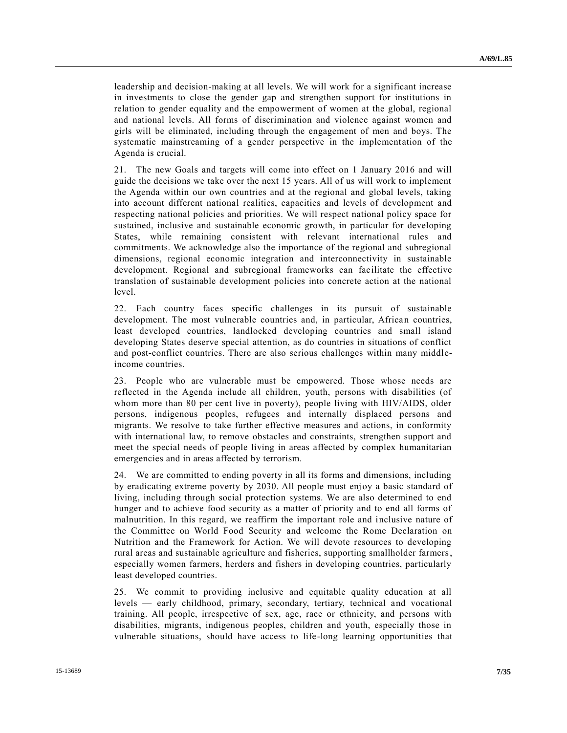leadership and decision-making at all levels. We will work for a significant increase in investments to close the gender gap and strengthen support for institutions in relation to gender equality and the empowerment of women at the global, regional and national levels. All forms of discrimination and violence against women and girls will be eliminated, including through the engagement of men and boys. The systematic mainstreaming of a gender perspective in the implementation of the Agenda is crucial.

21. The new Goals and targets will come into effect on 1 January 2016 and will guide the decisions we take over the next 15 years. All of us will work to implement the Agenda within our own countries and at the regional and global levels, taking into account different national realities, capacities and levels of development and respecting national policies and priorities. We will respect national policy space for sustained, inclusive and sustainable economic growth, in particular for developing States, while remaining consistent with relevant international rules and commitments. We acknowledge also the importance of the regional and subregional dimensions, regional economic integration and interconnectivity in sustainable development. Regional and subregional frameworks can facilitate the effective translation of sustainable development policies into concrete action at the national level.

22. Each country faces specific challenges in its pursuit of sustainable development. The most vulnerable countries and, in particular, African countries, least developed countries, landlocked developing countries and small island developing States deserve special attention, as do countries in situations of conflict and post-conflict countries. There are also serious challenges within many middleincome countries.

23. People who are vulnerable must be empowered. Those whose needs are reflected in the Agenda include all children, youth, persons with disabilities (of whom more than 80 per cent live in poverty), people living with HIV/AIDS, older persons, indigenous peoples, refugees and internally displaced persons and migrants. We resolve to take further effective measures and actions, in conformity with international law, to remove obstacles and constraints, strengthen support and meet the special needs of people living in areas affected by complex humanitarian emergencies and in areas affected by terrorism.

24. We are committed to ending poverty in all its forms and dimensions, including by eradicating extreme poverty by 2030. All people must enjoy a basic standard of living, including through social protection systems. We are also determined to end hunger and to achieve food security as a matter of priority and to end all forms of malnutrition. In this regard, we reaffirm the important role and inclusive nature of the Committee on World Food Security and welcome the Rome Declaration on Nutrition and the Framework for Action. We will devote resources to developing rural areas and sustainable agriculture and fisheries, supporting smallholder farmers, especially women farmers, herders and fishers in developing countries, particularly least developed countries.

25. We commit to providing inclusive and equitable quality education at all levels — early childhood, primary, secondary, tertiary, technical and vocational training. All people, irrespective of sex, age, race or ethnicity, and persons with disabilities, migrants, indigenous peoples, children and youth, especially those in vulnerable situations, should have access to life-long learning opportunities that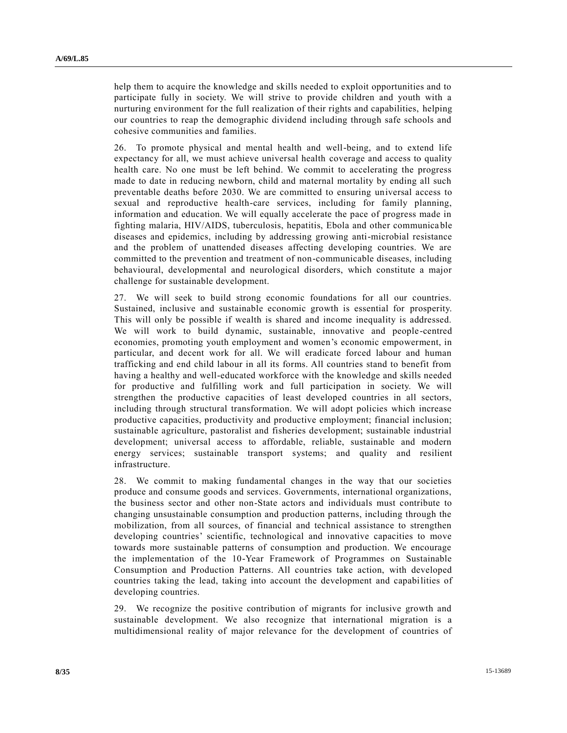help them to acquire the knowledge and skills needed to exploit opportunities and to participate fully in society. We will strive to provide children and youth with a nurturing environment for the full realization of their rights and capabilities, helping our countries to reap the demographic dividend including through safe schools and cohesive communities and families.

26. To promote physical and mental health and well-being, and to extend life expectancy for all, we must achieve universal health coverage and access to quality health care. No one must be left behind. We commit to accelerating the progress made to date in reducing newborn, child and maternal mortality by ending all such preventable deaths before 2030. We are committed to ensuring universal access to sexual and reproductive health-care services, including for family planning, information and education. We will equally accelerate the pace of progress made in fighting malaria, HIV/AIDS, tuberculosis, hepatitis, Ebola and other communica ble diseases and epidemics, including by addressing growing anti-microbial resistance and the problem of unattended diseases affecting developing countries. We are committed to the prevention and treatment of non-communicable diseases, including behavioural, developmental and neurological disorders, which constitute a major challenge for sustainable development.

27. We will seek to build strong economic foundations for all our countries. Sustained, inclusive and sustainable economic growth is essential for prosperity. This will only be possible if wealth is shared and income inequality is addressed. We will work to build dynamic, sustainable, innovative and people -centred economies, promoting youth employment and women's economic empowerment, in particular, and decent work for all. We will eradicate forced labour and human trafficking and end child labour in all its forms. All countries stand to benefit from having a healthy and well-educated workforce with the knowledge and skills needed for productive and fulfilling work and full participation in society. We will strengthen the productive capacities of least developed countries in all sectors, including through structural transformation. We will adopt policies which increase productive capacities, productivity and productive employment; financial inclusion; sustainable agriculture, pastoralist and fisheries development; sustainable industrial development; universal access to affordable, reliable, sustainable and modern energy services; sustainable transport systems; and quality and resilient infrastructure.

28. We commit to making fundamental changes in the way that our societies produce and consume goods and services. Governments, international organizations, the business sector and other non-State actors and individuals must contribute to changing unsustainable consumption and production patterns, including through the mobilization, from all sources, of financial and technical assistance to strengthen developing countries' scientific, technological and innovative capacities to move towards more sustainable patterns of consumption and production. We encourage the implementation of the 10-Year Framework of Programmes on Sustainable Consumption and Production Patterns. All countries take action, with developed countries taking the lead, taking into account the development and capabilities of developing countries.

29. We recognize the positive contribution of migrants for inclusive growth and sustainable development. We also recognize that international migration is a multidimensional reality of major relevance for the development of countries of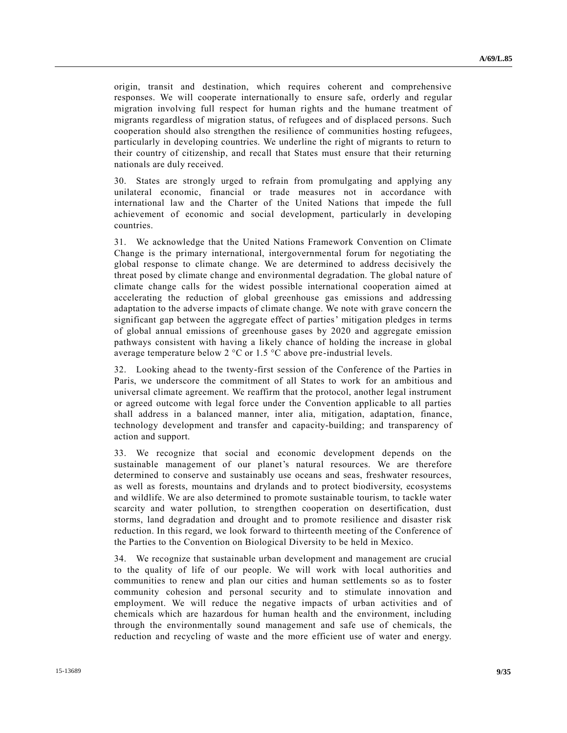origin, transit and destination, which requires coherent and comprehensive responses. We will cooperate internationally to ensure safe, orderly and regular migration involving full respect for human rights and the humane treatment of migrants regardless of migration status, of refugees and of displaced persons. Such cooperation should also strengthen the resilience of communities hosting refugees, particularly in developing countries. We underline the right of migrants to return to their country of citizenship, and recall that States must ensure that their returning nationals are duly received.

30. States are strongly urged to refrain from promulgating and applying any unilateral economic, financial or trade measures not in accordance with international law and the Charter of the United Nations that impede the full achievement of economic and social development, particularly in developing countries.

31. We acknowledge that the United Nations Framework Convention on Climate Change is the primary international, intergovernmental forum for negotiating the global response to climate change. We are determined to address decisively the threat posed by climate change and environmental degradation. The global nature of climate change calls for the widest possible international cooperation aimed at accelerating the reduction of global greenhouse gas emissions and addressing adaptation to the adverse impacts of climate change. We note with grave concern the significant gap between the aggregate effect of parties' mitigation pledges in terms of global annual emissions of greenhouse gases by 2020 and aggregate emission pathways consistent with having a likely chance of holding the increase in global average temperature below 2 °C or 1.5 °C above pre-industrial levels.

32. Looking ahead to the twenty-first session of the Conference of the Parties in Paris, we underscore the commitment of all States to work for an ambitious and universal climate agreement. We reaffirm that the protocol, another legal instrument or agreed outcome with legal force under the Convention applicable to all parties shall address in a balanced manner, inter alia, mitigation, adaptation, finance, technology development and transfer and capacity-building; and transparency of action and support.

33. We recognize that social and economic development depends on the sustainable management of our planet's natural resources. We are therefore determined to conserve and sustainably use oceans and seas, freshwater resources, as well as forests, mountains and drylands and to protect biodiversity, ecosystems and wildlife. We are also determined to promote sustainable tourism, to tackle water scarcity and water pollution, to strengthen cooperation on desertification, dust storms, land degradation and drought and to promote resilience and disaster risk reduction. In this regard, we look forward to thirteenth meeting of the Conference of the Parties to the Convention on Biological Diversity to be held in Mexico.

34. We recognize that sustainable urban development and management are crucial to the quality of life of our people. We will work with local authorities and communities to renew and plan our cities and human settlements so as to foster community cohesion and personal security and to stimulate innovation and employment. We will reduce the negative impacts of urban activities and of chemicals which are hazardous for human health and the environment, including through the environmentally sound management and safe use of chemicals, the reduction and recycling of waste and the more efficient use of water and energy.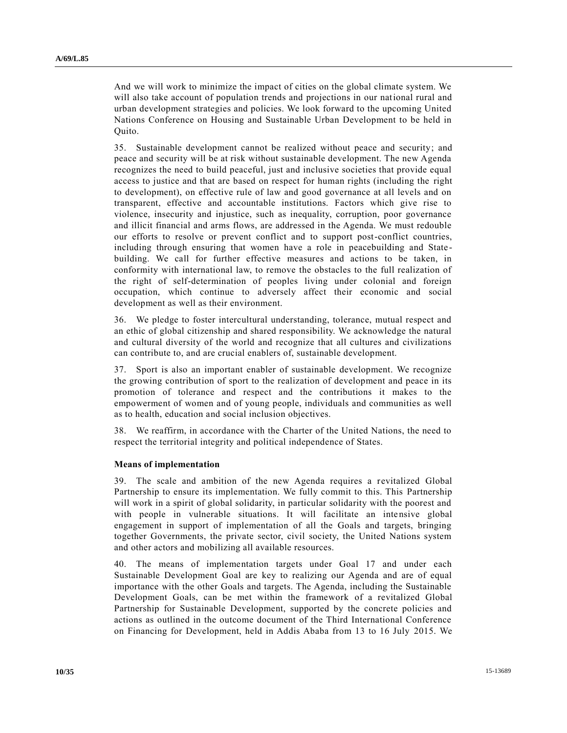And we will work to minimize the impact of cities on the global climate system. We will also take account of population trends and projections in our national rural and urban development strategies and policies. We look forward to the upcoming United Nations Conference on Housing and Sustainable Urban Development to be held in Quito.

35. Sustainable development cannot be realized without peace and security; and peace and security will be at risk without sustainable development. The new Agenda recognizes the need to build peaceful, just and inclusive societies that provide equal access to justice and that are based on respect for human rights (including the right to development), on effective rule of law and good governance at all levels and on transparent, effective and accountable institutions. Factors which give rise to violence, insecurity and injustice, such as inequality, corruption, poor governance and illicit financial and arms flows, are addressed in the Agenda. We must redouble our efforts to resolve or prevent conflict and to support post-conflict countries, including through ensuring that women have a role in peacebuilding and State building. We call for further effective measures and actions to be taken, in conformity with international law, to remove the obstacles to the full realization of the right of self-determination of peoples living under colonial and foreign occupation, which continue to adversely affect their economic and social development as well as their environment.

36. We pledge to foster intercultural understanding, tolerance, mutual respect and an ethic of global citizenship and shared responsibility. We acknowledge the natural and cultural diversity of the world and recognize that all cultures and civilizations can contribute to, and are crucial enablers of, sustainable development.

37. Sport is also an important enabler of sustainable development. We recognize the growing contribution of sport to the realization of development and peace in its promotion of tolerance and respect and the contributions it makes to the empowerment of women and of young people, individuals and communities as well as to health, education and social inclusion objectives.

38. We reaffirm, in accordance with the Charter of the United Nations, the need to respect the territorial integrity and political independence of States.

#### **Means of implementation**

39. The scale and ambition of the new Agenda requires a revitalized Global Partnership to ensure its implementation. We fully commit to this. This Partnership will work in a spirit of global solidarity, in particular solidarity with the poorest and with people in vulnerable situations. It will facilitate an intensive global engagement in support of implementation of all the Goals and targets, bringing together Governments, the private sector, civil society, the United Nations system and other actors and mobilizing all available resources.

40. The means of implementation targets under Goal 17 and under each Sustainable Development Goal are key to realizing our Agenda and are of equal importance with the other Goals and targets. The Agenda, including the Sustainable Development Goals, can be met within the framework of a revitalized Global Partnership for Sustainable Development, supported by the concrete policies and actions as outlined in the outcome document of the Third International Conference on Financing for Development, held in Addis Ababa from 13 to 16 July 2015. We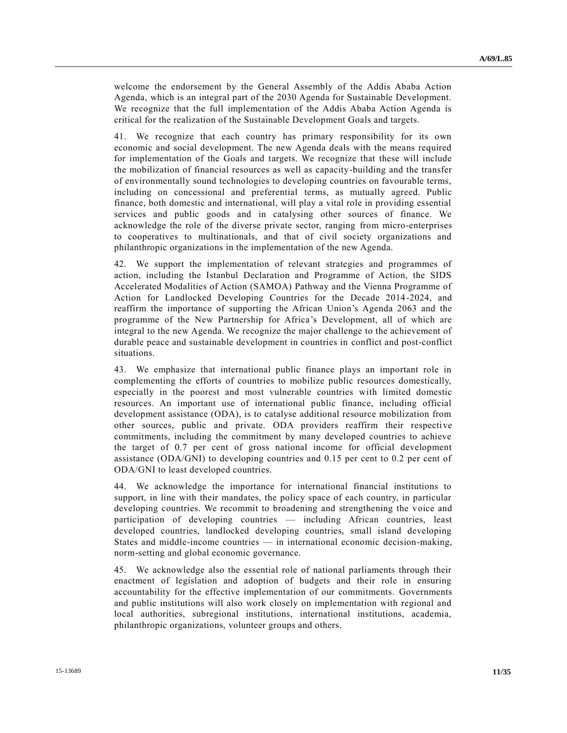welcome the endorsement by the General Assembly of the Addis Ababa Action Agenda, which is an integral part of the 2030 Agenda for Sustainable Development. We recognize that the full implementation of the Addis Ababa Action Agenda is critical for the realization of the Sustainable Development Goals and targets.

41. We recognize that each country has primary responsibility for its own economic and social development. The new Agenda deals with the means required for implementation of the Goals and targets. We recognize that these will include the mobilization of financial resources as well as capacity-building and the transfer of environmentally sound technologies to developing countries on favourable terms, including on concessional and preferential terms, as mutually agreed. Public finance, both domestic and international, will play a vital role in providing essential services and public goods and in catalysing other sources of finance. We acknowledge the role of the diverse private sector, ranging from micro-enterprises to cooperatives to multinationals, and that of civil society organizations and philanthropic organizations in the implementation of the new Agenda.

42. We support the implementation of relevant strategies and programmes of action, including the Istanbul Declaration and Programme of Action, the SIDS Accelerated Modalities of Action (SAMOA) Pathway and the Vienna Programme of Action for Landlocked Developing Countries for the Decade 2014-2024, and reaffirm the importance of supporting the African Union's Agenda 2063 and the programme of the New Partnership for Africa's Development, all of which are integral to the new Agenda. We recognize the major challenge to the achievement of durable peace and sustainable development in countries in conflict and post-conflict situations.

43. We emphasize that international public finance plays an important role in complementing the efforts of countries to mobilize public resources domestically, especially in the poorest and most vulnerable countries with limited domestic resources. An important use of international public finance, including official development assistance (ODA), is to catalyse additional resource mobilization from other sources, public and private. ODA providers reaffirm their respective commitments, including the commitment by many developed countries to achieve the target of 0.7 per cent of gross national income for official development assistance (ODA/GNI) to developing countries and 0.15 per cent to 0.2 per cent of ODA/GNI to least developed countries.

44. We acknowledge the importance for international financial institutions to support, in line with their mandates, the policy space of each country, in particular developing countries. We recommit to broadening and strengthening the voice and participation of developing countries — including African countries, least developed countries, landlocked developing countries, small island developing States and middle-income countries — in international economic decision-making, norm-setting and global economic governance.

45. We acknowledge also the essential role of national parliaments through their enactment of legislation and adoption of budgets and their role in ensuring accountability for the effective implementation of our commitments. Governments and public institutions will also work closely on implementation with regional and local authorities, subregional institutions, international institutions, academia, philanthropic organizations, volunteer groups and others.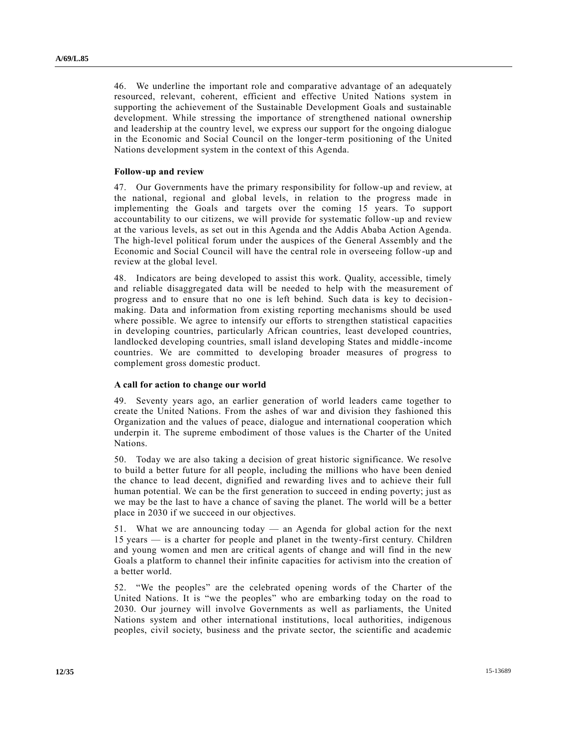46. We underline the important role and comparative advantage of an adequately resourced, relevant, coherent, efficient and effective United Nations system in supporting the achievement of the Sustainable Development Goals and sustainable development. While stressing the importance of strengthened national ownership and leadership at the country level, we express our support for the ongoing dialogue in the Economic and Social Council on the longer-term positioning of the United Nations development system in the context of this Agenda.

#### **Follow-up and review**

47. Our Governments have the primary responsibility for follow-up and review, at the national, regional and global levels, in relation to the progress made in implementing the Goals and targets over the coming 15 years. To support accountability to our citizens, we will provide for systematic follow-up and review at the various levels, as set out in this Agenda and the Addis Ababa Action Agenda. The high-level political forum under the auspices of the General Assembly and the Economic and Social Council will have the central role in overseeing follow-up and review at the global level.

48. Indicators are being developed to assist this work. Quality, accessible, timely and reliable disaggregated data will be needed to help with the measurement of progress and to ensure that no one is left behind. Such data is key to decisionmaking. Data and information from existing reporting mechanisms should be used where possible. We agree to intensify our efforts to strengthen statistical capacities in developing countries, particularly African countries, least developed countries, landlocked developing countries, small island developing States and middle -income countries. We are committed to developing broader measures of progress to complement gross domestic product.

#### **A call for action to change our world**

49. Seventy years ago, an earlier generation of world leaders came together to create the United Nations. From the ashes of war and division they fashioned this Organization and the values of peace, dialogue and international cooperation which underpin it. The supreme embodiment of those values is the Charter of the United Nations.

50. Today we are also taking a decision of great historic significance. We resolve to build a better future for all people, including the millions who have been denied the chance to lead decent, dignified and rewarding lives and to achieve their full human potential. We can be the first generation to succeed in ending poverty; just as we may be the last to have a chance of saving the planet. The world will be a better place in 2030 if we succeed in our objectives.

51. What we are announcing today — an Agenda for global action for the next 15 years — is a charter for people and planet in the twenty-first century. Children and young women and men are critical agents of change and will find in the new Goals a platform to channel their infinite capacities for activism into the creation of a better world.

52. "We the peoples" are the celebrated opening words of the Charter of the United Nations. It is "we the peoples" who are embarking today on the road to 2030. Our journey will involve Governments as well as parliaments, the United Nations system and other international institutions, local authorities, indigenous peoples, civil society, business and the private sector, the scientific and academic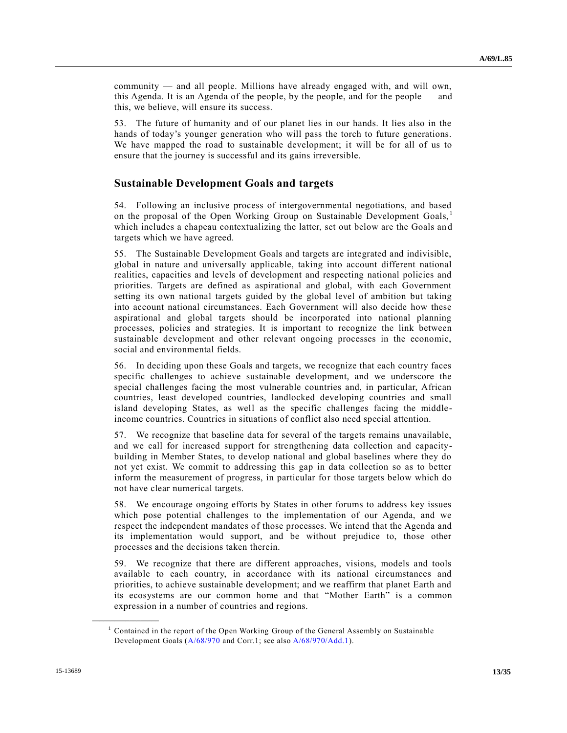community — and all people. Millions have already engaged with, and will own, this Agenda. It is an Agenda of the people, by the people, and for the people — and this, we believe, will ensure its success.

53. The future of humanity and of our planet lies in our hands. It lies also in the hands of today's younger generation who will pass the torch to future generations. We have mapped the road to sustainable development; it will be for all of us to ensure that the journey is successful and its gains irreversible.

# **Sustainable Development Goals and targets**

54. Following an inclusive process of intergovernmental negotiations, and based on the proposal of the Open Working Group on Sustainable Development Goals, <sup>1</sup> which includes a chapeau contextualizing the latter, set out below are the Goals an d targets which we have agreed.

55. The Sustainable Development Goals and targets are integrated and indivisible, global in nature and universally applicable, taking into account different national realities, capacities and levels of development and respecting national policies and priorities. Targets are defined as aspirational and global, with each Government setting its own national targets guided by the global level of ambition but taking into account national circumstances. Each Government will also decide how these aspirational and global targets should be incorporated into national planning processes, policies and strategies. It is important to recognize the link between sustainable development and other relevant ongoing processes in the economic, social and environmental fields.

56. In deciding upon these Goals and targets, we recognize that each country faces specific challenges to achieve sustainable development, and we underscore the special challenges facing the most vulnerable countries and, in particular, African countries, least developed countries, landlocked developing countries and small island developing States, as well as the specific challenges facing the middleincome countries. Countries in situations of conflict also need special attention.

57. We recognize that baseline data for several of the targets remains unavailable, and we call for increased support for strengthening data collection and capacitybuilding in Member States, to develop national and global baselines where they do not yet exist. We commit to addressing this gap in data collection so as to better inform the measurement of progress, in particular for those targets below which do not have clear numerical targets.

58. We encourage ongoing efforts by States in other forums to address key issues which pose potential challenges to the implementation of our Agenda, and we respect the independent mandates of those processes. We intend that the Agenda and its implementation would support, and be without prejudice to, those other processes and the decisions taken therein.

59. We recognize that there are different approaches, visions, models and tools available to each country, in accordance with its national circumstances and priorities, to achieve sustainable development; and we reaffirm that planet Earth and its ecosystems are our common home and that "Mother Earth" is a common expression in a number of countries and regions.

**\_\_\_\_\_\_\_\_\_\_\_\_\_\_\_\_\_\_**

<sup>1</sup> Contained in the report of the Open Working Group of the General Assembly on Sustainable Development Goals [\(A/68/970](http://undocs.org/A/68/970) and Corr.1; see als[o A/68/970/Add.1\)](http://undocs.org/A/68/970/Add.1).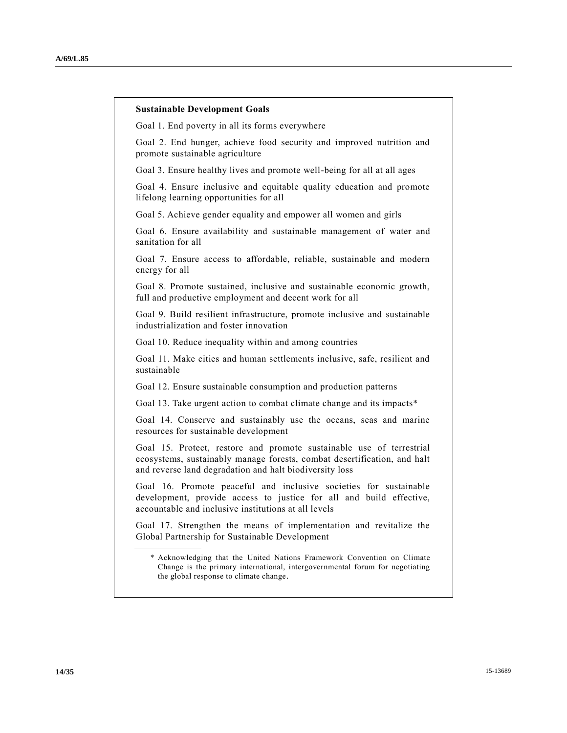| Goal 1. End poverty in all its forms everywhere                                                                                                                                                             |
|-------------------------------------------------------------------------------------------------------------------------------------------------------------------------------------------------------------|
| Goal 2. End hunger, achieve food security and improved nutrition and<br>promote sustainable agriculture                                                                                                     |
| Goal 3. Ensure healthy lives and promote well-being for all at all ages                                                                                                                                     |
| Goal 4. Ensure inclusive and equitable quality education and promote<br>lifelong learning opportunities for all                                                                                             |
| Goal 5. Achieve gender equality and empower all women and girls                                                                                                                                             |
| Goal 6. Ensure availability and sustainable management of water and<br>sanitation for all                                                                                                                   |
| Goal 7. Ensure access to affordable, reliable, sustainable and modern<br>energy for all                                                                                                                     |
| Goal 8. Promote sustained, inclusive and sustainable economic growth,<br>full and productive employment and decent work for all                                                                             |
| Goal 9. Build resilient infrastructure, promote inclusive and sustainable<br>industrialization and foster innovation                                                                                        |
| Goal 10. Reduce inequality within and among countries                                                                                                                                                       |
| Goal 11. Make cities and human settlements inclusive, safe, resilient and<br>sustainable                                                                                                                    |
| Goal 12. Ensure sustainable consumption and production patterns                                                                                                                                             |
| Goal 13. Take urgent action to combat climate change and its impacts*                                                                                                                                       |
| Goal 14. Conserve and sustainably use the oceans, seas and marine<br>resources for sustainable development                                                                                                  |
| Goal 15. Protect, restore and promote sustainable use of terrestrial<br>ecosystems, sustainably manage forests, combat desertification, and halt<br>and reverse land degradation and halt biodiversity loss |
| Goal 16. Promote peaceful and inclusive societies for sustainable<br>development, provide access to justice for all and build effective,<br>accountable and inclusive institutions at all levels            |
| Goal 17. Strengthen the means of implementation and revitalize the<br>Global Partnership for Sustainable Development                                                                                        |
| * Acknowledging that the United Nations Framework Convention on Climate<br>Change is the primary international, intergovernmental forum for negotiating<br>the global response to climate change.           |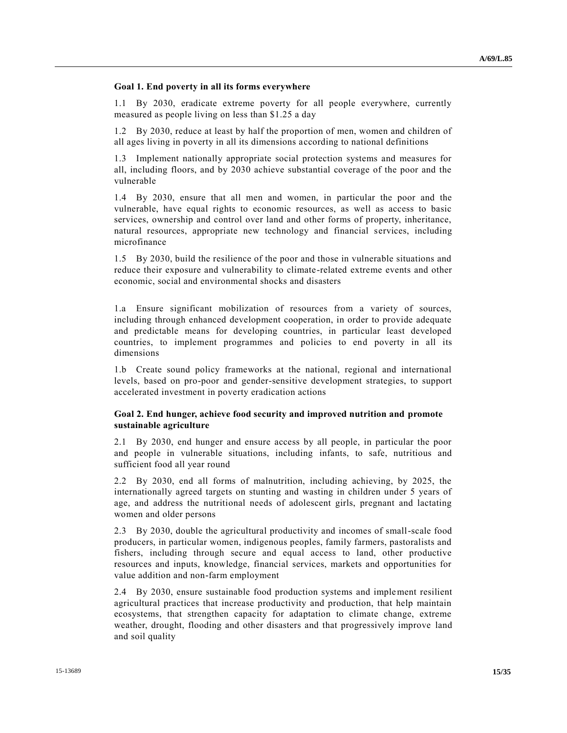## **Goal 1. End poverty in all its forms everywhere**

1.1 By 2030, eradicate extreme poverty for all people everywhere, currently measured as people living on less than \$1.25 a day

1.2 By 2030, reduce at least by half the proportion of men, women and children of all ages living in poverty in all its dimensions according to national definitions

1.3 Implement nationally appropriate social protection systems and measures for all, including floors, and by 2030 achieve substantial coverage of the poor and the vulnerable

1.4 By 2030, ensure that all men and women, in particular the poor and the vulnerable, have equal rights to economic resources, as well as access to basic services, ownership and control over land and other forms of property, inheritance, natural resources, appropriate new technology and financial services, including microfinance

1.5 By 2030, build the resilience of the poor and those in vulnerable situations and reduce their exposure and vulnerability to climate-related extreme events and other economic, social and environmental shocks and disasters

1.a Ensure significant mobilization of resources from a variety of sources, including through enhanced development cooperation, in order to provide adequate and predictable means for developing countries, in particular least developed countries, to implement programmes and policies to end poverty in all its dimensions

1.b Create sound policy frameworks at the national, regional and international levels, based on pro-poor and gender-sensitive development strategies, to support accelerated investment in poverty eradication actions

# **Goal 2. End hunger, achieve food security and improved nutrition and promote sustainable agriculture**

2.1 By 2030, end hunger and ensure access by all people, in particular the poor and people in vulnerable situations, including infants, to safe, nutritious and sufficient food all year round

2.2 By 2030, end all forms of malnutrition, including achieving, by 2025, the internationally agreed targets on stunting and wasting in children under 5 years of age, and address the nutritional needs of adolescent girls, pregnant and lactating women and older persons

2.3 By 2030, double the agricultural productivity and incomes of small-scale food producers, in particular women, indigenous peoples, family farmers, pastoralists and fishers, including through secure and equal access to land, other productive resources and inputs, knowledge, financial services, markets and opportunities for value addition and non-farm employment

2.4 By 2030, ensure sustainable food production systems and implement resilient agricultural practices that increase productivity and production, that help maintain ecosystems, that strengthen capacity for adaptation to climate change, extreme weather, drought, flooding and other disasters and that progressively improve land and soil quality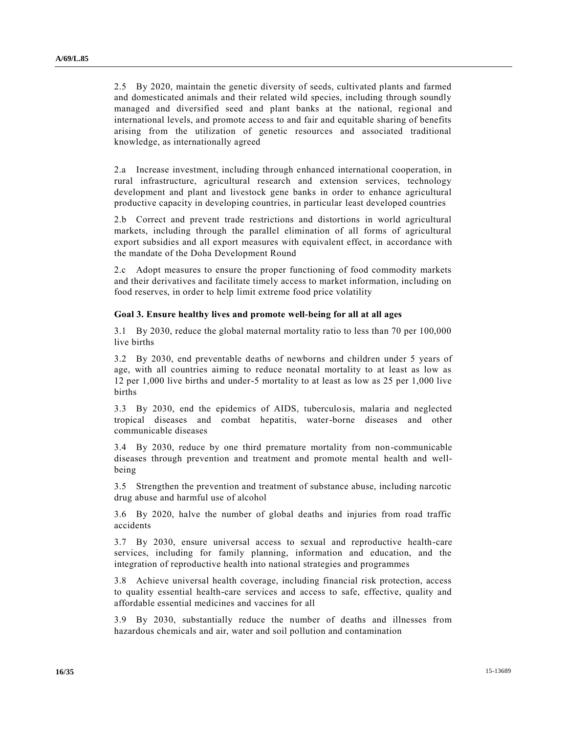2.5 By 2020, maintain the genetic diversity of seeds, cultivated plants and farmed and domesticated animals and their related wild species, including through soundly managed and diversified seed and plant banks at the national, regional and international levels, and promote access to and fair and equitable sharing of benefits arising from the utilization of genetic resources and associated traditional knowledge, as internationally agreed

2.a Increase investment, including through enhanced international cooperation, in rural infrastructure, agricultural research and extension services, technology development and plant and livestock gene banks in order to enhance agricultural productive capacity in developing countries, in particular least developed countries

2.b Correct and prevent trade restrictions and distortions in world agricultural markets, including through the parallel elimination of all forms of agricultural export subsidies and all export measures with equivalent effect, in accordance with the mandate of the Doha Development Round

2.c Adopt measures to ensure the proper functioning of food commodity markets and their derivatives and facilitate timely access to market information, including on food reserves, in order to help limit extreme food price volatility

#### **Goal 3. Ensure healthy lives and promote well-being for all at all ages**

3.1 By 2030, reduce the global maternal mortality ratio to less than 70 per 100,000 live births

3.2 By 2030, end preventable deaths of newborns and children under 5 years of age, with all countries aiming to reduce neonatal mortality to at least as low as 12 per 1,000 live births and under-5 mortality to at least as low as 25 per 1,000 live births

3.3 By 2030, end the epidemics of AIDS, tuberculosis, malaria and neglected tropical diseases and combat hepatitis, water-borne diseases and other communicable diseases

3.4 By 2030, reduce by one third premature mortality from non-communicable diseases through prevention and treatment and promote mental health and wellbeing

3.5 Strengthen the prevention and treatment of substance abuse, including narcotic drug abuse and harmful use of alcohol

3.6 By 2020, halve the number of global deaths and injuries from road traffic accidents

3.7 By 2030, ensure universal access to sexual and reproductive health-care services, including for family planning, information and education, and the integration of reproductive health into national strategies and programmes

3.8 Achieve universal health coverage, including financial risk protection, access to quality essential health-care services and access to safe, effective, quality and affordable essential medicines and vaccines for all

3.9 By 2030, substantially reduce the number of deaths and illnesses from hazardous chemicals and air, water and soil pollution and contamination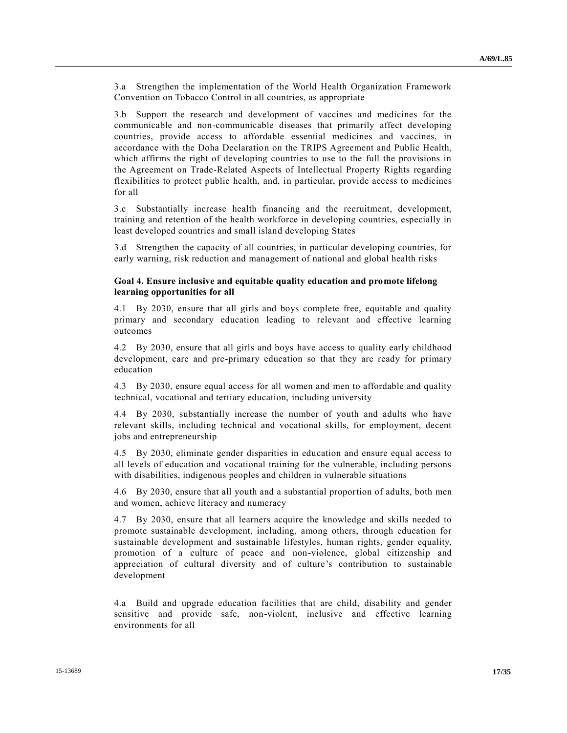3.a Strengthen the implementation of the World Health Organization Framework Convention on Tobacco Control in all countries, as appropriate

3.b Support the research and development of vaccines and medicines for the communicable and non-communicable diseases that primarily affect developing countries, provide access to affordable essential medicines and vaccines, in accordance with the Doha Declaration on the TRIPS Agreement and Public Health, which affirms the right of developing countries to use to the full the provisions in the Agreement on Trade-Related Aspects of Intellectual Property Rights regarding flexibilities to protect public health, and, in particular, provide access to medicines for all

3.c Substantially increase health financing and the recruitment, development, training and retention of the health workforce in developing countries, especially in least developed countries and small island developing States

3.d Strengthen the capacity of all countries, in particular developing countries, for early warning, risk reduction and management of national and global health risks

## **Goal 4. Ensure inclusive and equitable quality education and promote lifelong learning opportunities for all**

4.1 By 2030, ensure that all girls and boys complete free, equitable and quality primary and secondary education leading to relevant and effective learning outcomes

4.2 By 2030, ensure that all girls and boys have access to quality early childhood development, care and pre-primary education so that they are ready for primary education

4.3 By 2030, ensure equal access for all women and men to affordable and quality technical, vocational and tertiary education, including university

4.4 By 2030, substantially increase the number of youth and adults who have relevant skills, including technical and vocational skills, for employment, decent jobs and entrepreneurship

4.5 By 2030, eliminate gender disparities in education and ensure equal access to all levels of education and vocational training for the vulnerable, including persons with disabilities, indigenous peoples and children in vulnerable situations

4.6 By 2030, ensure that all youth and a substantial proportion of adults, both men and women, achieve literacy and numeracy

4.7 By 2030, ensure that all learners acquire the knowledge and skills needed to promote sustainable development, including, among others, through education for sustainable development and sustainable lifestyles, human rights, gender equality, promotion of a culture of peace and non-violence, global citizenship and appreciation of cultural diversity and of culture's contribution to sustainable development

4.a Build and upgrade education facilities that are child, disability and gender sensitive and provide safe, non-violent, inclusive and effective learning environments for all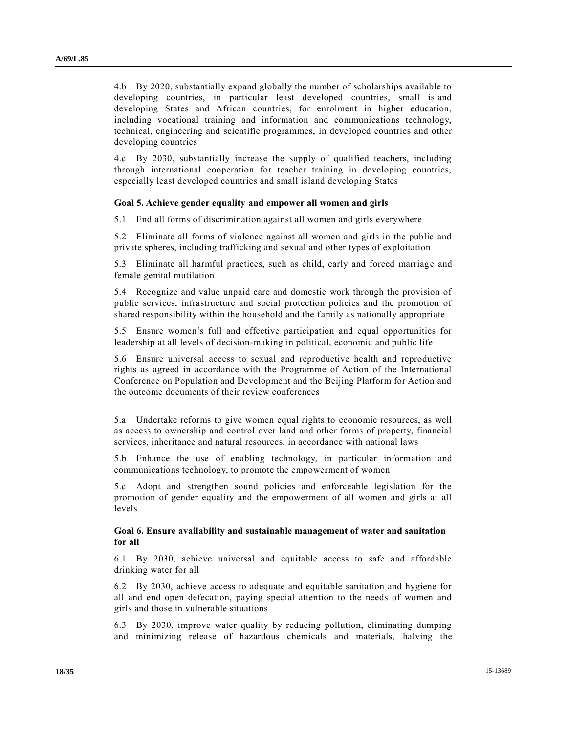4.b By 2020, substantially expand globally the number of scholarships available to developing countries, in particular least developed countries, small island developing States and African countries, for enrolment in higher education, including vocational training and information and communications technology, technical, engineering and scientific programmes, in developed countries and other developing countries

4.c By 2030, substantially increase the supply of qualified teachers, including through international cooperation for teacher training in developing countries, especially least developed countries and small island developing States

## **Goal 5. Achieve gender equality and empower all women and girls**

5.1 End all forms of discrimination against all women and girls everywhere

5.2 Eliminate all forms of violence against all women and girls in the public and private spheres, including trafficking and sexual and other types of exploitation

5.3 Eliminate all harmful practices, such as child, early and forced marriage and female genital mutilation

5.4 Recognize and value unpaid care and domestic work through the provision of public services, infrastructure and social protection policies and the promotion of shared responsibility within the household and the family as nationally appropriate

5.5 Ensure women's full and effective participation and equal opportunities for leadership at all levels of decision-making in political, economic and public life

5.6 Ensure universal access to sexual and reproductive health and reproductive rights as agreed in accordance with the Programme of Action of the International Conference on Population and Development and the Beijing Platform for Action and the outcome documents of their review conferences

5.a Undertake reforms to give women equal rights to economic resources, as well as access to ownership and control over land and other forms of property, financial services, inheritance and natural resources, in accordance with national laws

5.b Enhance the use of enabling technology, in particular information and communications technology, to promote the empowerment of women

5.c Adopt and strengthen sound policies and enforceable legislation for the promotion of gender equality and the empowerment of all women and girls at all levels

## **Goal 6. Ensure availability and sustainable management of water and sanitation for all**

6.1 By 2030, achieve universal and equitable access to safe and affordable drinking water for all

6.2 By 2030, achieve access to adequate and equitable sanitation and hygiene for all and end open defecation, paying special attention to the needs of women and girls and those in vulnerable situations

6.3 By 2030, improve water quality by reducing pollution, eliminating dumping and minimizing release of hazardous chemicals and materials, halving the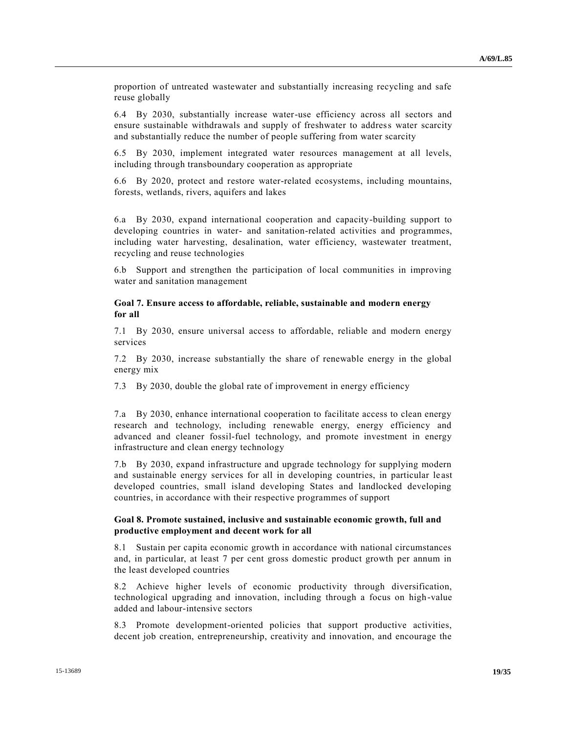proportion of untreated wastewater and substantially increasing recycling and safe reuse globally

6.4 By 2030, substantially increase water-use efficiency across all sectors and ensure sustainable withdrawals and supply of freshwater to address water scarcity and substantially reduce the number of people suffering from water scarcity

6.5 By 2030, implement integrated water resources management at all levels, including through transboundary cooperation as appropriate

6.6 By 2020, protect and restore water-related ecosystems, including mountains, forests, wetlands, rivers, aquifers and lakes

6.a By 2030, expand international cooperation and capacity-building support to developing countries in water- and sanitation-related activities and programmes, including water harvesting, desalination, water efficiency, wastewater treatment, recycling and reuse technologies

6.b Support and strengthen the participation of local communities in improving water and sanitation management

## **Goal 7. Ensure access to affordable, reliable, sustainable and modern energy for all**

7.1 By 2030, ensure universal access to affordable, reliable and modern energy services

7.2 By 2030, increase substantially the share of renewable energy in the global energy mix

7.3 By 2030, double the global rate of improvement in energy efficiency

7.a By 2030, enhance international cooperation to facilitate access to clean energy research and technology, including renewable energy, energy efficiency and advanced and cleaner fossil-fuel technology, and promote investment in energy infrastructure and clean energy technology

7.b By 2030, expand infrastructure and upgrade technology for supplying modern and sustainable energy services for all in developing countries, in particular le ast developed countries, small island developing States and landlocked developing countries, in accordance with their respective programmes of support

## **Goal 8. Promote sustained, inclusive and sustainable economic growth, full and productive employment and decent work for all**

8.1 Sustain per capita economic growth in accordance with national circumstances and, in particular, at least 7 per cent gross domestic product growth per annum in the least developed countries

8.2 Achieve higher levels of economic productivity through diversification, technological upgrading and innovation, including through a focus on high -value added and labour-intensive sectors

8.3 Promote development-oriented policies that support productive activities, decent job creation, entrepreneurship, creativity and innovation, and encourage the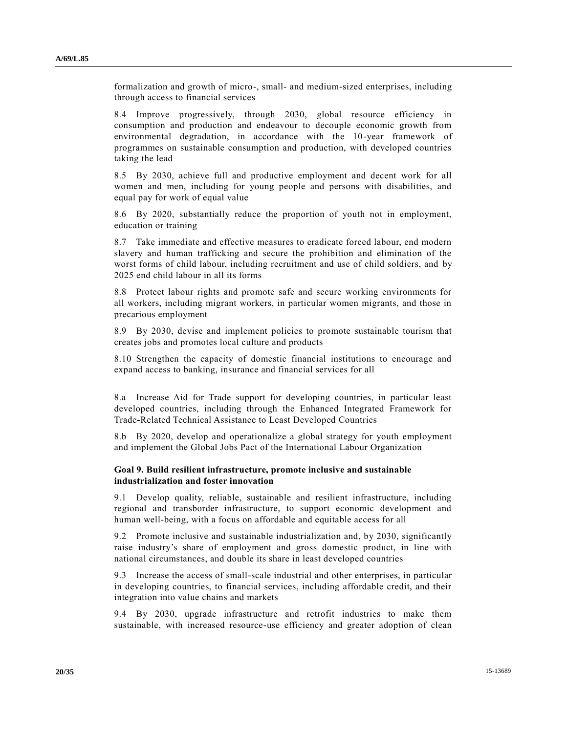formalization and growth of micro-, small- and medium-sized enterprises, including through access to financial services

8.4 Improve progressively, through 2030, global resource efficiency in consumption and production and endeavour to decouple economic growth from environmental degradation, in accordance with the 10-year framework of programmes on sustainable consumption and production, with developed countries taking the lead

8.5 By 2030, achieve full and productive employment and decent work for all women and men, including for young people and persons with disabilities, and equal pay for work of equal value

8.6 By 2020, substantially reduce the proportion of youth not in employment, education or training

8.7 Take immediate and effective measures to eradicate forced labour, end modern slavery and human trafficking and secure the prohibition and elimination of the worst forms of child labour, including recruitment and use of child soldiers, and by 2025 end child labour in all its forms

8.8 Protect labour rights and promote safe and secure working environments for all workers, including migrant workers, in particular women migrants, and those in precarious employment

8.9 By 2030, devise and implement policies to promote sustainable tourism that creates jobs and promotes local culture and products

8.10 Strengthen the capacity of domestic financial institutions to encourage and expand access to banking, insurance and financial services for all

8.a Increase Aid for Trade support for developing countries, in particular least developed countries, including through the Enhanced Integrated Framework for Trade-Related Technical Assistance to Least Developed Countries

8.b By 2020, develop and operationalize a global strategy for youth employment and implement the Global Jobs Pact of the International Labour Organization

## **Goal 9. Build resilient infrastructure, promote inclusive and sustainable industrialization and foster innovation**

9.1 Develop quality, reliable, sustainable and resilient infrastructure, including regional and transborder infrastructure, to support economic development and human well-being, with a focus on affordable and equitable access for all

9.2 Promote inclusive and sustainable industrialization and, by 2030, significantly raise industry's share of employment and gross domestic product, in line with national circumstances, and double its share in least developed countries

9.3 Increase the access of small-scale industrial and other enterprises, in particular in developing countries, to financial services, including affordable credit, and their integration into value chains and markets

9.4 By 2030, upgrade infrastructure and retrofit industries to make them sustainable, with increased resource-use efficiency and greater adoption of clean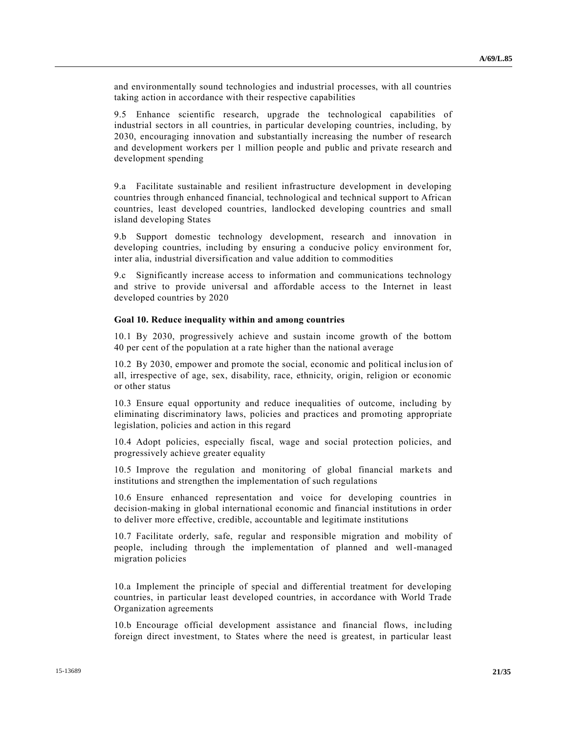and environmentally sound technologies and industrial processes, with all countries taking action in accordance with their respective capabilities

9.5 Enhance scientific research, upgrade the technological capabilities of industrial sectors in all countries, in particular developing countries, including, by 2030, encouraging innovation and substantially increasing the number of research and development workers per 1 million people and public and private research and development spending

9.a Facilitate sustainable and resilient infrastructure development in developing countries through enhanced financial, technological and technical support to African countries, least developed countries, landlocked developing countries and small island developing States

9.b Support domestic technology development, research and innovation in developing countries, including by ensuring a conducive policy environment for, inter alia, industrial diversification and value addition to commodities

9.c Significantly increase access to information and communications technology and strive to provide universal and affordable access to the Internet in least developed countries by 2020

#### **Goal 10. Reduce inequality within and among countries**

10.1 By 2030, progressively achieve and sustain income growth of the bottom 40 per cent of the population at a rate higher than the national average

10.2 By 2030, empower and promote the social, economic and political inclusion of all, irrespective of age, sex, disability, race, ethnicity, origin, religion or economic or other status

10.3 Ensure equal opportunity and reduce inequalities of outcome, including by eliminating discriminatory laws, policies and practices and promoting appropriate legislation, policies and action in this regard

10.4 Adopt policies, especially fiscal, wage and social protection policies, and progressively achieve greater equality

10.5 Improve the regulation and monitoring of global financial markets and institutions and strengthen the implementation of such regulations

10.6 Ensure enhanced representation and voice for developing countries in decision-making in global international economic and financial institutions in order to deliver more effective, credible, accountable and legitimate institutions

10.7 Facilitate orderly, safe, regular and responsible migration and mobility of people, including through the implementation of planned and well-managed migration policies

10.a Implement the principle of special and differential treatment for developing countries, in particular least developed countries, in accordance with World Trade Organization agreements

10.b Encourage official development assistance and financial flows, inc luding foreign direct investment, to States where the need is greatest, in particular least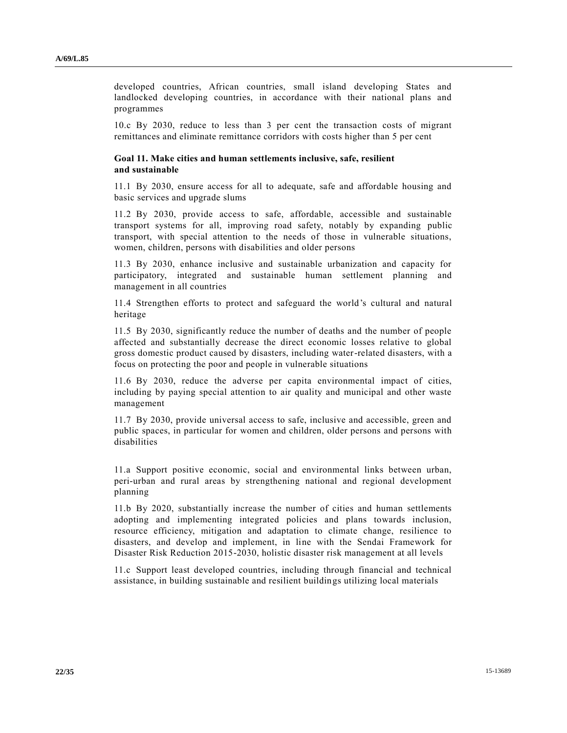developed countries, African countries, small island developing States and landlocked developing countries, in accordance with their national plans and programmes

10.c By 2030, reduce to less than 3 per cent the transaction costs of migrant remittances and eliminate remittance corridors with costs higher than 5 per cent

## **Goal 11. Make cities and human settlements inclusive, safe, resilient and sustainable**

11.1 By 2030, ensure access for all to adequate, safe and affordable housing and basic services and upgrade slums

11.2 By 2030, provide access to safe, affordable, accessible and sustainable transport systems for all, improving road safety, notably by expanding public transport, with special attention to the needs of those in vulnerable situations, women, children, persons with disabilities and older persons

11.3 By 2030, enhance inclusive and sustainable urbanization and capacity for participatory, integrated and sustainable human settlement planning and management in all countries

11.4 Strengthen efforts to protect and safeguard the world's cultural and natural heritage

11.5 By 2030, significantly reduce the number of deaths and the number of people affected and substantially decrease the direct economic losses relative to global gross domestic product caused by disasters, including water-related disasters, with a focus on protecting the poor and people in vulnerable situations

11.6 By 2030, reduce the adverse per capita environmental impact of cities, including by paying special attention to air quality and municipal and other waste management

11.7 By 2030, provide universal access to safe, inclusive and accessible, green and public spaces, in particular for women and children, older persons and persons with disabilities

11.a Support positive economic, social and environmental links between urban, peri-urban and rural areas by strengthening national and regional development planning

11.b By 2020, substantially increase the number of cities and human settlements adopting and implementing integrated policies and plans towards inclusion, resource efficiency, mitigation and adaptation to climate change, resilience to disasters, and develop and implement, in line with the Sendai Framework for Disaster Risk Reduction 2015-2030, holistic disaster risk management at all levels

11.c Support least developed countries, including through financial and technical assistance, in building sustainable and resilient buildings utilizing local materials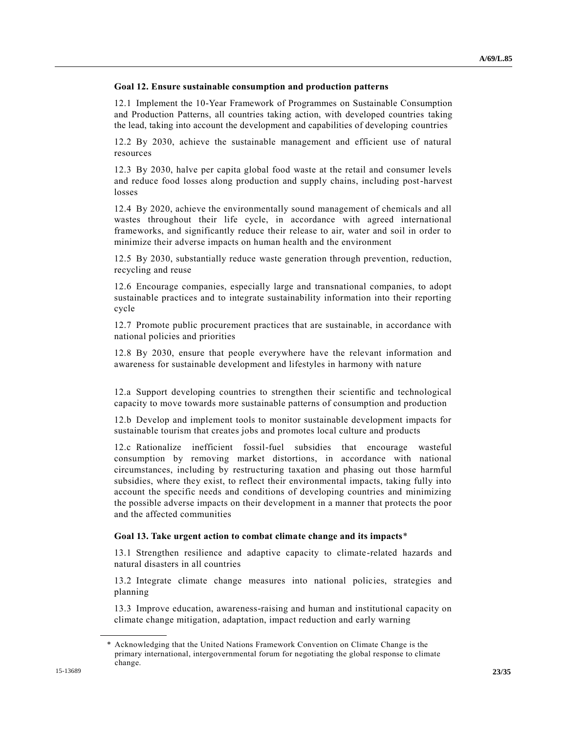## **Goal 12. Ensure sustainable consumption and production patterns**

12.1 Implement the 10-Year Framework of Programmes on Sustainable Consumption and Production Patterns, all countries taking action, with developed countries taking the lead, taking into account the development and capabilities of developing countries

12.2 By 2030, achieve the sustainable management and efficient use of natural resources

12.3 By 2030, halve per capita global food waste at the retail and consumer levels and reduce food losses along production and supply chains, including post-harvest losses

12.4 By 2020, achieve the environmentally sound management of chemicals and all wastes throughout their life cycle, in accordance with agreed international frameworks, and significantly reduce their release to air, water and soil in order to minimize their adverse impacts on human health and the environment

12.5 By 2030, substantially reduce waste generation through prevention, reduction, recycling and reuse

12.6 Encourage companies, especially large and transnational companies, to adopt sustainable practices and to integrate sustainability information into their reporting cycle

12.7 Promote public procurement practices that are sustainable, in accordance with national policies and priorities

12.8 By 2030, ensure that people everywhere have the relevant information and awareness for sustainable development and lifestyles in harmony with nature

12.a Support developing countries to strengthen their scientific and technological capacity to move towards more sustainable patterns of consumption and production

12.b Develop and implement tools to monitor sustainable development impacts for sustainable tourism that creates jobs and promotes local culture and products

12.c Rationalize inefficient fossil-fuel subsidies that encourage wasteful consumption by removing market distortions, in accordance with national circumstances, including by restructuring taxation and phasing out those harmful subsidies, where they exist, to reflect their environmental impacts, taking fully into account the specific needs and conditions of developing countries and minimizing the possible adverse impacts on their development in a manner that protects the poor and the affected communities

#### **Goal 13. Take urgent action to combat climate change and its impacts**\*

13.1 Strengthen resilience and adaptive capacity to climate-related hazards and natural disasters in all countries

13.2 Integrate climate change measures into national policies, strategies and planning

13.3 Improve education, awareness-raising and human and institutional capacity on climate change mitigation, adaptation, impact reduction and early warning

<sup>15-13689</sup> **23/35** \* Acknowledging that the United Nations Framework Convention on Climate Change is the primary international, intergovernmental forum for negotiating the global response to climate change.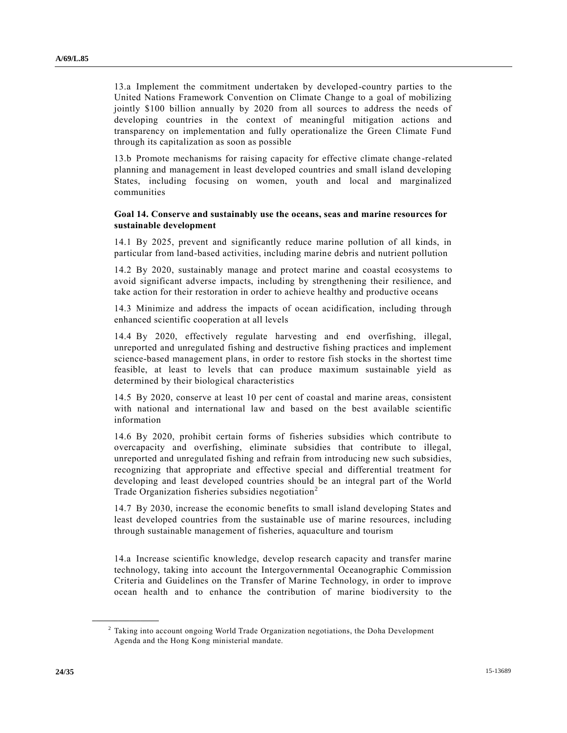13.a Implement the commitment undertaken by developed-country parties to the United Nations Framework Convention on Climate Change to a goal of mobilizing jointly \$100 billion annually by 2020 from all sources to address the needs of developing countries in the context of meaningful mitigation actions and transparency on implementation and fully operationalize the Green Climate Fund through its capitalization as soon as possible

13.b Promote mechanisms for raising capacity for effective climate change -related planning and management in least developed countries and small island developing States, including focusing on women, youth and local and marginalized communities

#### **Goal 14. Conserve and sustainably use the oceans, seas and marine resources for sustainable development**

14.1 By 2025, prevent and significantly reduce marine pollution of all kinds, in particular from land-based activities, including marine debris and nutrient pollution

14.2 By 2020, sustainably manage and protect marine and coastal ecosystems to avoid significant adverse impacts, including by strengthening their resilience, and take action for their restoration in order to achieve healthy and productive oceans

14.3 Minimize and address the impacts of ocean acidification, including through enhanced scientific cooperation at all levels

14.4 By 2020, effectively regulate harvesting and end overfishing, illegal, unreported and unregulated fishing and destructive fishing practices and implement science-based management plans, in order to restore fish stocks in the shortest time feasible, at least to levels that can produce maximum sustainable yield as determined by their biological characteristics

14.5 By 2020, conserve at least 10 per cent of coastal and marine areas, consistent with national and international law and based on the best available scientific information

14.6 By 2020, prohibit certain forms of fisheries subsidies which contribute to overcapacity and overfishing, eliminate subsidies that contribute to illegal, unreported and unregulated fishing and refrain from introducing new such subsidies, recognizing that appropriate and effective special and differential treatment for developing and least developed countries should be an integral part of the World Trade Organization fisheries subsidies negotiation<sup>2</sup>

14.7 By 2030, increase the economic benefits to small island developing States and least developed countries from the sustainable use of marine resources, including through sustainable management of fisheries, aquaculture and tourism

14.a Increase scientific knowledge, develop research capacity and transfer marine technology, taking into account the Intergovernmental Oceanographic Commission Criteria and Guidelines on the Transfer of Marine Technology, in order to improve ocean health and to enhance the contribution of marine biodiversity to the

**\_\_\_\_\_\_\_\_\_\_\_\_\_\_\_\_\_\_**

<sup>&</sup>lt;sup>2</sup> Taking into account ongoing World Trade Organization negotiations, the Doha Development Agenda and the Hong Kong ministerial mandate.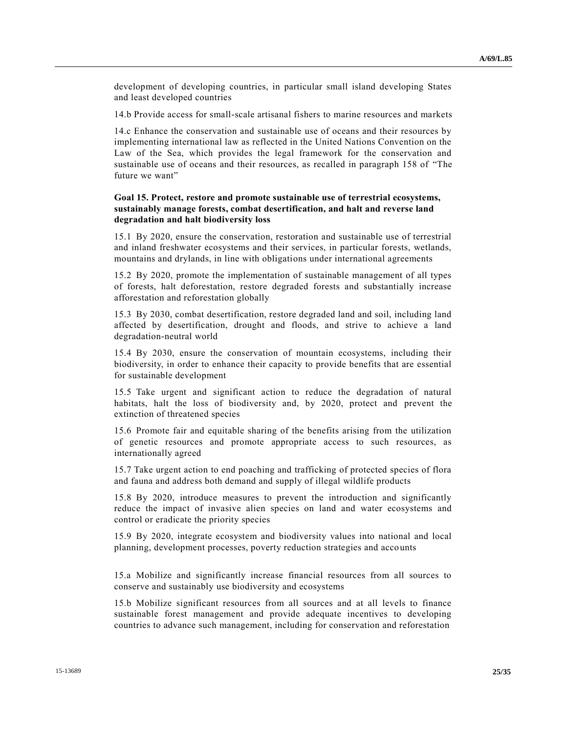development of developing countries, in particular small island developing States and least developed countries

14.b Provide access for small-scale artisanal fishers to marine resources and markets

14.c Enhance the conservation and sustainable use of oceans and their resources by implementing international law as reflected in the United Nations Convention on the Law of the Sea, which provides the legal framework for the conservation and sustainable use of oceans and their resources, as recalled in paragraph 158 of "The future we want"

## **Goal 15. Protect, restore and promote sustainable use of terrestrial ecosystems, sustainably manage forests, combat desertification, and halt and reverse land degradation and halt biodiversity loss**

15.1 By 2020, ensure the conservation, restoration and sustainable use of terrestrial and inland freshwater ecosystems and their services, in particular forests, wetlands, mountains and drylands, in line with obligations under international agreements

15.2 By 2020, promote the implementation of sustainable management of all types of forests, halt deforestation, restore degraded forests and substantially increase afforestation and reforestation globally

15.3 By 2030, combat desertification, restore degraded land and soil, including land affected by desertification, drought and floods, and strive to achieve a land degradation-neutral world

15.4 By 2030, ensure the conservation of mountain ecosystems, including their biodiversity, in order to enhance their capacity to provide benefits that are essential for sustainable development

15.5 Take urgent and significant action to reduce the degradation of natural habitats, halt the loss of biodiversity and, by 2020, protect and prevent the extinction of threatened species

15.6 Promote fair and equitable sharing of the benefits arising from the utilization of genetic resources and promote appropriate access to such resources, as internationally agreed

15.7 Take urgent action to end poaching and trafficking of protected species of flora and fauna and address both demand and supply of illegal wildlife products

15.8 By 2020, introduce measures to prevent the introduction and significantly reduce the impact of invasive alien species on land and water ecosystems and control or eradicate the priority species

15.9 By 2020, integrate ecosystem and biodiversity values into national and local planning, development processes, poverty reduction strategies and accounts

15.a Mobilize and significantly increase financial resources from all sources to conserve and sustainably use biodiversity and ecosystems

15.b Mobilize significant resources from all sources and at all levels to finance sustainable forest management and provide adequate incentives to developing countries to advance such management, including for conservation and reforestation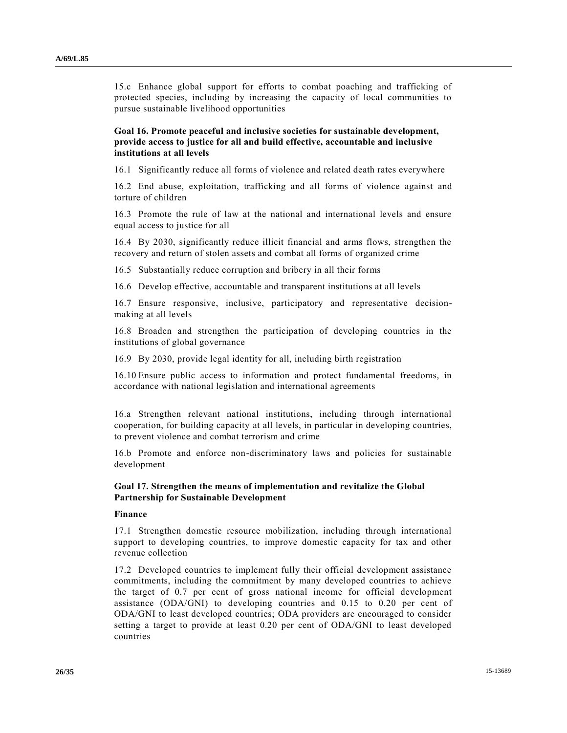15.c Enhance global support for efforts to combat poaching and trafficking of protected species, including by increasing the capacity of local communities to pursue sustainable livelihood opportunities

**Goal 16. Promote peaceful and inclusive societies for sustainable development, provide access to justice for all and build effective, accountable and inclusive institutions at all levels**

16.1 Significantly reduce all forms of violence and related death rates everywhere

16.2 End abuse, exploitation, trafficking and all forms of violence against and torture of children

16.3 Promote the rule of law at the national and international levels and ensure equal access to justice for all

16.4 By 2030, significantly reduce illicit financial and arms flows, strengthen the recovery and return of stolen assets and combat all forms of organized crime

16.5 Substantially reduce corruption and bribery in all their forms

16.6 Develop effective, accountable and transparent institutions at all levels

16.7 Ensure responsive, inclusive, participatory and representative decisionmaking at all levels

16.8 Broaden and strengthen the participation of developing countries in the institutions of global governance

16.9 By 2030, provide legal identity for all, including birth registration

16.10 Ensure public access to information and protect fundamental freedoms, in accordance with national legislation and international agreements

16.a Strengthen relevant national institutions, including through international cooperation, for building capacity at all levels, in particular in developing countries, to prevent violence and combat terrorism and crime

16.b Promote and enforce non-discriminatory laws and policies for sustainable development

#### **Goal 17. Strengthen the means of implementation and revitalize the Global Partnership for Sustainable Development**

#### **Finance**

17.1 Strengthen domestic resource mobilization, including through international support to developing countries, to improve domestic capacity for tax and other revenue collection

17.2 Developed countries to implement fully their official development assistance commitments, including the commitment by many developed countries to achieve the target of 0.7 per cent of gross national income for official development assistance (ODA/GNI) to developing countries and 0.15 to 0.20 per cent of ODA/GNI to least developed countries; ODA providers are encouraged to consider setting a target to provide at least 0.20 per cent of ODA/GNI to least developed countries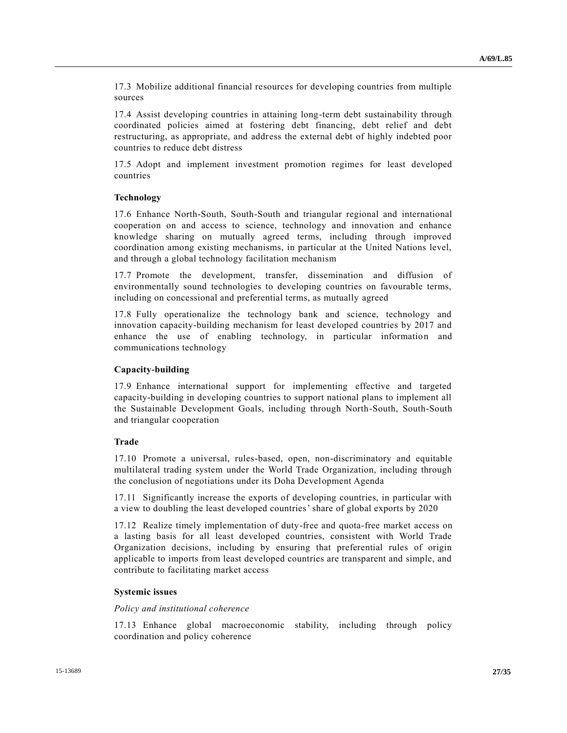17.3 Mobilize additional financial resources for developing countries from multiple sources

17.4 Assist developing countries in attaining long-term debt sustainability through coordinated policies aimed at fostering debt financing, debt relief and debt restructuring, as appropriate, and address the external debt of highly indebted poor countries to reduce debt distress

17.5 Adopt and implement investment promotion regimes for least developed countries

## **Technology**

17.6 Enhance North-South, South-South and triangular regional and international cooperation on and access to science, technology and innovation and enhance knowledge sharing on mutually agreed terms, including through improved coordination among existing mechanisms, in particular at the United Nations level, and through a global technology facilitation mechanism

17.7 Promote the development, transfer, dissemination and diffusion of environmentally sound technologies to developing countries on favourable terms, including on concessional and preferential terms, as mutually agreed

17.8 Fully operationalize the technology bank and science, technology and innovation capacity-building mechanism for least developed countries by 2017 and enhance the use of enabling technology, in particular information and communications technology

## **Capacity-building**

17.9 Enhance international support for implementing effective and targeted capacity-building in developing countries to support national plans to implement all the Sustainable Development Goals, including through North-South, South-South and triangular cooperation

# **Trade**

17.10 Promote a universal, rules-based, open, non-discriminatory and equitable multilateral trading system under the World Trade Organization, including through the conclusion of negotiations under its Doha Development Agenda

17.11 Significantly increase the exports of developing countries, in particular with a view to doubling the least developed countries' share of global exports by 2020

17.12 Realize timely implementation of duty-free and quota-free market access on a lasting basis for all least developed countries, consistent with World Trade Organization decisions, including by ensuring that preferential rules of origin applicable to imports from least developed countries are transparent and simple, and contribute to facilitating market access

# **Systemic issues**

#### *Policy and institutional coherence*

17.13 Enhance global macroeconomic stability, including through policy coordination and policy coherence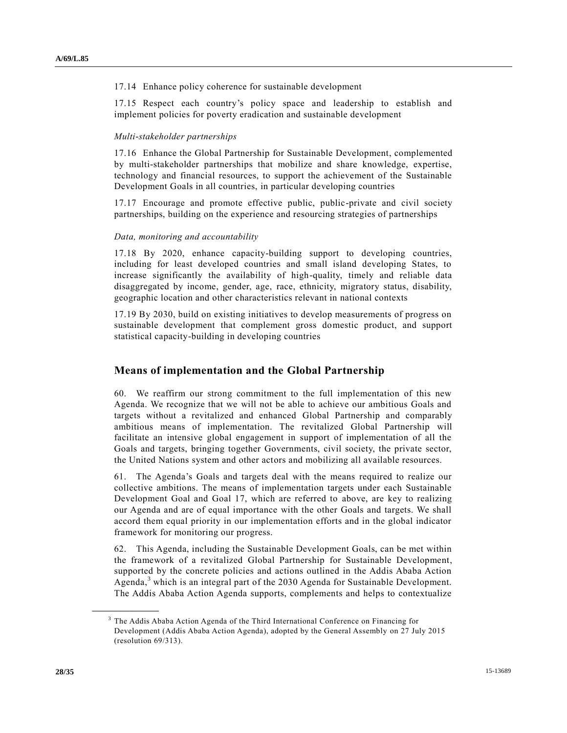## 17.14 Enhance policy coherence for sustainable development

17.15 Respect each country's policy space and leadership to establish and implement policies for poverty eradication and sustainable development

#### *Multi-stakeholder partnerships*

17.16 Enhance the Global Partnership for Sustainable Development, complemented by multi-stakeholder partnerships that mobilize and share knowledge, expertise, technology and financial resources, to support the achievement of the Sustainable Development Goals in all countries, in particular developing countries

17.17 Encourage and promote effective public, public-private and civil society partnerships, building on the experience and resourcing strategies of partnerships

#### *Data, monitoring and accountability*

17.18 By 2020, enhance capacity-building support to developing countries, including for least developed countries and small island developing States, to increase significantly the availability of high-quality, timely and reliable data disaggregated by income, gender, age, race, ethnicity, migratory status, disability, geographic location and other characteristics relevant in national contexts

17.19 By 2030, build on existing initiatives to develop measurements of progress on sustainable development that complement gross domestic product, and support statistical capacity-building in developing countries

# **Means of implementation and the Global Partnership**

60. We reaffirm our strong commitment to the full implementation of this new Agenda. We recognize that we will not be able to achieve our ambitious Goals and targets without a revitalized and enhanced Global Partnership and comparably ambitious means of implementation. The revitalized Global Partnership will facilitate an intensive global engagement in support of implementation of all the Goals and targets, bringing together Governments, civil society, the private sector, the United Nations system and other actors and mobilizing all available resources.

61. The Agenda's Goals and targets deal with the means required to realize our collective ambitions. The means of implementation targets under each Sustainable Development Goal and Goal 17, which are referred to above, are key to realizing our Agenda and are of equal importance with the other Goals and targets. We shall accord them equal priority in our implementation efforts and in the global indicator framework for monitoring our progress.

62. This Agenda, including the Sustainable Development Goals, can be met within the framework of a revitalized Global Partnership for Sustainable Development, supported by the concrete policies and actions outlined in the Addis Ababa Action Agenda, $3$  which is an integral part of the 2030 Agenda for Sustainable Development. The Addis Ababa Action Agenda supports, complements and helps to contextualize

**\_\_\_\_\_\_\_\_\_\_\_\_\_\_\_\_\_\_**

<sup>&</sup>lt;sup>3</sup> The Addis Ababa Action Agenda of the Third International Conference on Financing for Development (Addis Ababa Action Agenda), adopted by the General Assembly on 27 July 2015 (resolution 69/313).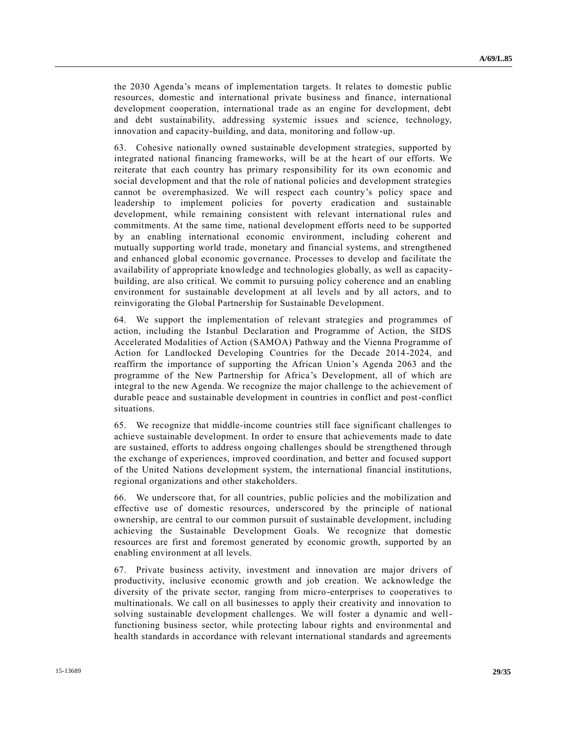the 2030 Agenda's means of implementation targets. It relates to domestic public resources, domestic and international private business and finance, international development cooperation, international trade as an engine for development, debt and debt sustainability, addressing systemic issues and science, technology, innovation and capacity-building, and data, monitoring and follow-up.

63. Cohesive nationally owned sustainable development strategies, supported by integrated national financing frameworks, will be at the heart of our efforts. We reiterate that each country has primary responsibility for its own economic and social development and that the role of national policies and development strategies cannot be overemphasized. We will respect each country's policy space and leadership to implement policies for poverty eradication and sustainable development, while remaining consistent with relevant international rules and commitments. At the same time, national development efforts need to be supported by an enabling international economic environment, including coherent and mutually supporting world trade, monetary and financial systems, and strengthened and enhanced global economic governance. Processes to develop and facilitate the availability of appropriate knowledge and technologies globally, as well as capacitybuilding, are also critical. We commit to pursuing policy coherence and an enabling environment for sustainable development at all levels and by all actors, and to reinvigorating the Global Partnership for Sustainable Development.

64. We support the implementation of relevant strategies and programmes of action, including the Istanbul Declaration and Programme of Action, the SIDS Accelerated Modalities of Action (SAMOA) Pathway and the Vienna Programme of Action for Landlocked Developing Countries for the Decade 2014-2024, and reaffirm the importance of supporting the African Union's Agenda 2063 and the programme of the New Partnership for Africa's Development, all of which are integral to the new Agenda. We recognize the major challenge to the achievement of durable peace and sustainable development in countries in conflict and post-conflict situations.

65. We recognize that middle-income countries still face significant challenges to achieve sustainable development. In order to ensure that achievements made to date are sustained, efforts to address ongoing challenges should be strengthened through the exchange of experiences, improved coordination, and better and focused support of the United Nations development system, the international financial institutions, regional organizations and other stakeholders.

66. We underscore that, for all countries, public policies and the mobilization and effective use of domestic resources, underscored by the principle of national ownership, are central to our common pursuit of sustainable development, including achieving the Sustainable Development Goals. We recognize that domestic resources are first and foremost generated by economic growth, supported by an enabling environment at all levels.

67. Private business activity, investment and innovation are major drivers of productivity, inclusive economic growth and job creation. We acknowledge the diversity of the private sector, ranging from micro-enterprises to cooperatives to multinationals. We call on all businesses to apply their creativity and innovation to solving sustainable development challenges. We will foster a dynamic and wellfunctioning business sector, while protecting labour rights and environmental and health standards in accordance with relevant international standards and agreements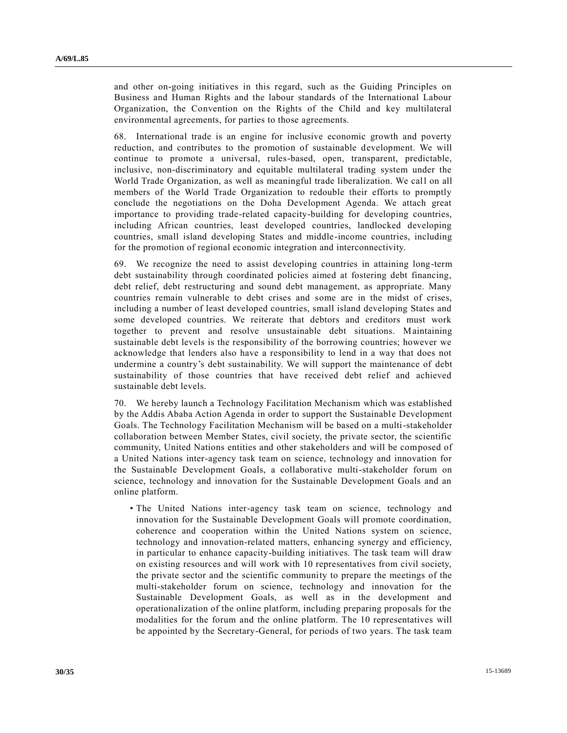and other on-going initiatives in this regard, such as the Guiding Principles on Business and Human Rights and the labour standards of the International Labour Organization, the Convention on the Rights of the Child and key multilateral environmental agreements, for parties to those agreements.

68. International trade is an engine for inclusive economic growth and poverty reduction, and contributes to the promotion of sustainable development. We will continue to promote a universal, rules-based, open, transparent, predictable, inclusive, non-discriminatory and equitable multilateral trading system under the World Trade Organization, as well as meaningful trade liberalization. We call on all members of the World Trade Organization to redouble their efforts to promptly conclude the negotiations on the Doha Development Agenda. We attach great importance to providing trade-related capacity-building for developing countries, including African countries, least developed countries, landlocked developing countries, small island developing States and middle-income countries, including for the promotion of regional economic integration and interconnectivity.

69. We recognize the need to assist developing countries in attaining long-term debt sustainability through coordinated policies aimed at fostering debt financing, debt relief, debt restructuring and sound debt management, as appropriate. Many countries remain vulnerable to debt crises and some are in the midst of crises, including a number of least developed countries, small island developing States and some developed countries. We reiterate that debtors and creditors must work together to prevent and resolve unsustainable debt situations. Maintaining sustainable debt levels is the responsibility of the borrowing countries; however we acknowledge that lenders also have a responsibility to lend in a way that does not undermine a country's debt sustainability. We will support the maintenance of debt sustainability of those countries that have received debt relief and achieved sustainable debt levels.

70. We hereby launch a Technology Facilitation Mechanism which was established by the Addis Ababa Action Agenda in order to support the Sustainable Development Goals. The Technology Facilitation Mechanism will be based on a multi-stakeholder collaboration between Member States, civil society, the private sector, the scientific community, United Nations entities and other stakeholders and will be composed of a United Nations inter-agency task team on science, technology and innovation for the Sustainable Development Goals, a collaborative multi-stakeholder forum on science, technology and innovation for the Sustainable Development Goals and an online platform.

• The United Nations inter-agency task team on science, technology and innovation for the Sustainable Development Goals will promote coordination, coherence and cooperation within the United Nations system on science, technology and innovation-related matters, enhancing synergy and efficiency, in particular to enhance capacity-building initiatives. The task team will draw on existing resources and will work with 10 representatives from civil society, the private sector and the scientific community to prepare the meetings of the multi-stakeholder forum on science, technology and innovation for the Sustainable Development Goals, as well as in the development and operationalization of the online platform, including preparing proposals for the modalities for the forum and the online platform. The 10 representatives will be appointed by the Secretary-General, for periods of two years. The task team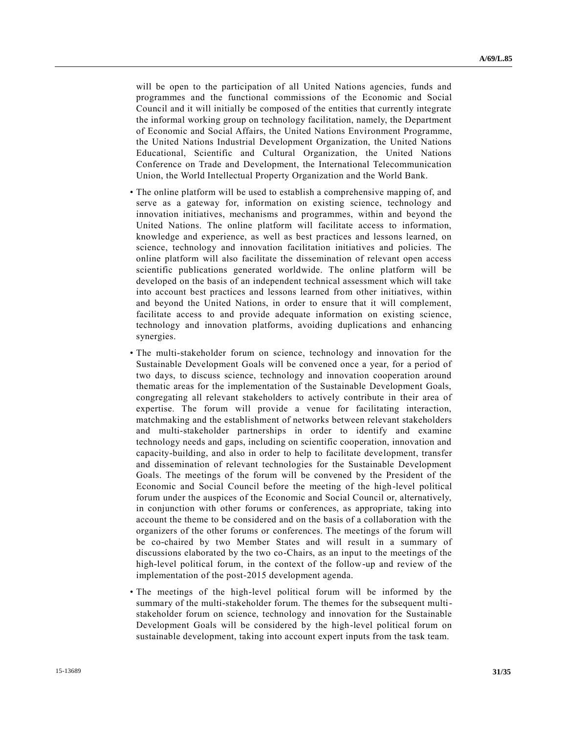will be open to the participation of all United Nations agencies, funds and programmes and the functional commissions of the Economic and Social Council and it will initially be composed of the entities that currently integrate the informal working group on technology facilitation, namely, the Department of Economic and Social Affairs, the United Nations Environment Programme, the United Nations Industrial Development Organization, the United Nations Educational, Scientific and Cultural Organization, the United Nations Conference on Trade and Development, the International Telecommunication Union, the World Intellectual Property Organization and the World Bank.

- The online platform will be used to establish a comprehensive mapping of, and serve as a gateway for, information on existing science, technology and innovation initiatives, mechanisms and programmes, within and beyond the United Nations. The online platform will facilitate access to information, knowledge and experience, as well as best practices and lessons learned, on science, technology and innovation facilitation initiatives and policies. The online platform will also facilitate the dissemination of relevant open access scientific publications generated worldwide. The online platform will be developed on the basis of an independent technical assessment which will take into account best practices and lessons learned from other initiatives, within and beyond the United Nations, in order to ensure that it will complement, facilitate access to and provide adequate information on existing science, technology and innovation platforms, avoiding duplications and enhancing synergies.
- The multi-stakeholder forum on science, technology and innovation for the Sustainable Development Goals will be convened once a year, for a period of two days, to discuss science, technology and innovation cooperation around thematic areas for the implementation of the Sustainable Development Goals, congregating all relevant stakeholders to actively contribute in their area of expertise. The forum will provide a venue for facilitating interaction, matchmaking and the establishment of networks between relevant stakeholders and multi-stakeholder partnerships in order to identify and examine technology needs and gaps, including on scientific cooperation, innovation and capacity-building, and also in order to help to facilitate development, transfer and dissemination of relevant technologies for the Sustainable Development Goals. The meetings of the forum will be convened by the President of the Economic and Social Council before the meeting of the high-level political forum under the auspices of the Economic and Social Council or, alternatively, in conjunction with other forums or conferences, as appropriate, taking into account the theme to be considered and on the basis of a collaboration with the organizers of the other forums or conferences. The meetings of the forum will be co-chaired by two Member States and will result in a summary of discussions elaborated by the two co-Chairs, as an input to the meetings of the high-level political forum, in the context of the follow-up and review of the implementation of the post-2015 development agenda.
- The meetings of the high-level political forum will be informed by the summary of the multi-stakeholder forum. The themes for the subsequent multistakeholder forum on science, technology and innovation for the Sustainable Development Goals will be considered by the high-level political forum on sustainable development, taking into account expert inputs from the task team.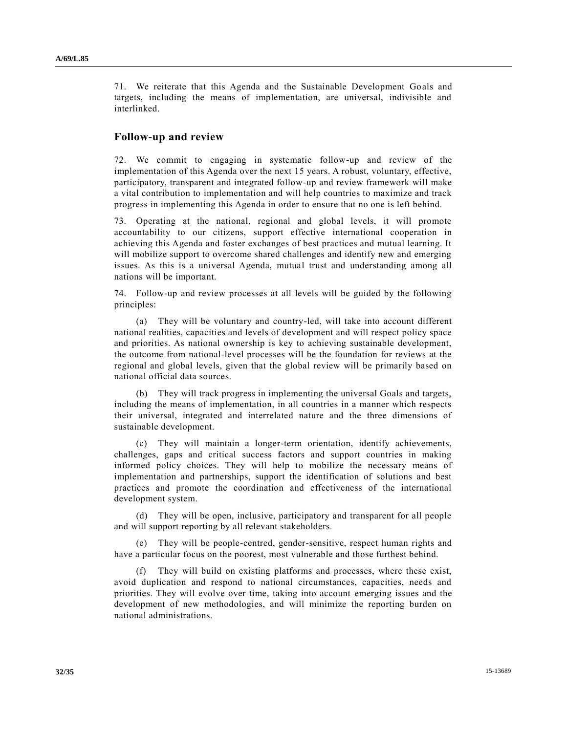71. We reiterate that this Agenda and the Sustainable Development Goals and targets, including the means of implementation, are universal, indivisible and interlinked.

# **Follow-up and review**

72. We commit to engaging in systematic follow-up and review of the implementation of this Agenda over the next 15 years. A robust, voluntary, effective, participatory, transparent and integrated follow-up and review framework will make a vital contribution to implementation and will help countries to maximize and track progress in implementing this Agenda in order to ensure that no one is left behind.

73. Operating at the national, regional and global levels, it will promote accountability to our citizens, support effective international cooperation in achieving this Agenda and foster exchanges of best practices and mutual learning. It will mobilize support to overcome shared challenges and identify new and emerging issues. As this is a universal Agenda, mutual trust and understanding among all nations will be important.

74. Follow-up and review processes at all levels will be guided by the following principles:

(a) They will be voluntary and country-led, will take into account different national realities, capacities and levels of development and will respect policy space and priorities. As national ownership is key to achieving sustainable development, the outcome from national-level processes will be the foundation for reviews at the regional and global levels, given that the global review will be primarily based on national official data sources.

(b) They will track progress in implementing the universal Goals and targets, including the means of implementation, in all countries in a manner which respects their universal, integrated and interrelated nature and the three dimensions of sustainable development.

(c) They will maintain a longer-term orientation, identify achievements, challenges, gaps and critical success factors and support countries in making informed policy choices. They will help to mobilize the necessary means of implementation and partnerships, support the identification of solutions and best practices and promote the coordination and effectiveness of the international development system.

(d) They will be open, inclusive, participatory and transparent for all people and will support reporting by all relevant stakeholders.

(e) They will be people-centred, gender-sensitive, respect human rights and have a particular focus on the poorest, most vulnerable and those furthest behind.

(f) They will build on existing platforms and processes, where these exist, avoid duplication and respond to national circumstances, capacities, needs and priorities. They will evolve over time, taking into account emerging issues and the development of new methodologies, and will minimize the reporting burden on national administrations.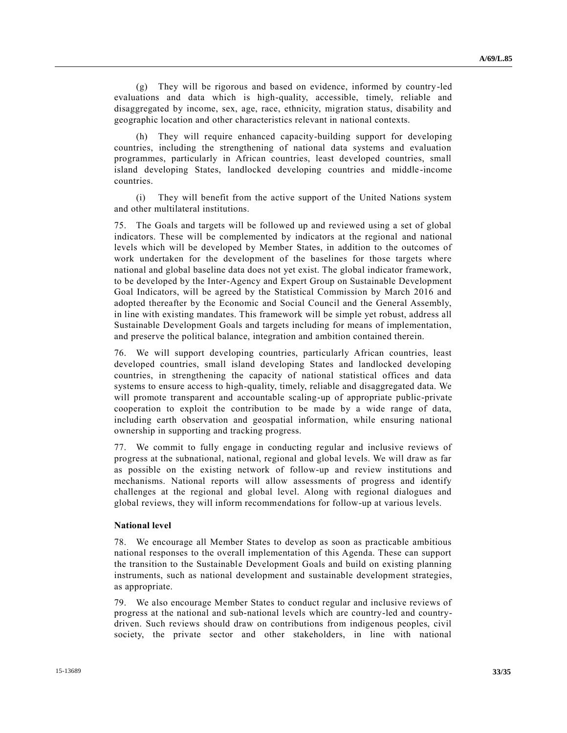(g) They will be rigorous and based on evidence, informed by country-led evaluations and data which is high-quality, accessible, timely, reliable and disaggregated by income, sex, age, race, ethnicity, migration status, disability and geographic location and other characteristics relevant in national contexts.

(h) They will require enhanced capacity-building support for developing countries, including the strengthening of national data systems and evaluation programmes, particularly in African countries, least developed countries, small island developing States, landlocked developing countries and middle -income countries.

(i) They will benefit from the active support of the United Nations system and other multilateral institutions.

75. The Goals and targets will be followed up and reviewed using a set of global indicators. These will be complemented by indicators at the regional and national levels which will be developed by Member States, in addition to the outcomes of work undertaken for the development of the baselines for those targets where national and global baseline data does not yet exist. The global indicator framework, to be developed by the Inter-Agency and Expert Group on Sustainable Development Goal Indicators, will be agreed by the Statistical Commission by March 2016 and adopted thereafter by the Economic and Social Council and the General Assembly, in line with existing mandates. This framework will be simple yet robust, address all Sustainable Development Goals and targets including for means of implementation, and preserve the political balance, integration and ambition contained therein.

76. We will support developing countries, particularly African countries, least developed countries, small island developing States and landlocked developing countries, in strengthening the capacity of national statistical offices and data systems to ensure access to high-quality, timely, reliable and disaggregated data. We will promote transparent and accountable scaling-up of appropriate public-private cooperation to exploit the contribution to be made by a wide range of data, including earth observation and geospatial information, while ensuring national ownership in supporting and tracking progress.

77. We commit to fully engage in conducting regular and inclusive reviews of progress at the subnational, national, regional and global levels. We will draw as far as possible on the existing network of follow-up and review institutions and mechanisms. National reports will allow assessments of progress and identify challenges at the regional and global level. Along with regional dialogues and global reviews, they will inform recommendations for follow-up at various levels.

#### **National level**

78. We encourage all Member States to develop as soon as practicable ambitious national responses to the overall implementation of this Agenda. These can support the transition to the Sustainable Development Goals and build on existing planning instruments, such as national development and sustainable development strategies, as appropriate.

79. We also encourage Member States to conduct regular and inclusive reviews of progress at the national and sub-national levels which are country-led and countrydriven. Such reviews should draw on contributions from indigenous peoples, civil society, the private sector and other stakeholders, in line with national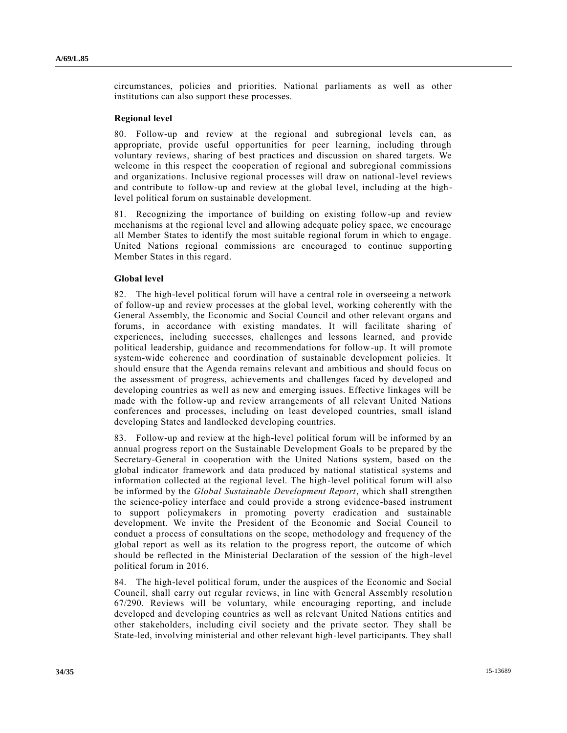circumstances, policies and priorities. National parliaments as well as other institutions can also support these processes.

#### **Regional level**

80. Follow-up and review at the regional and subregional levels can, as appropriate, provide useful opportunities for peer learning, including through voluntary reviews, sharing of best practices and discussion on shared targets. We welcome in this respect the cooperation of regional and subregional commissions and organizations. Inclusive regional processes will draw on national-level reviews and contribute to follow-up and review at the global level, including at the highlevel political forum on sustainable development.

81. Recognizing the importance of building on existing follow-up and review mechanisms at the regional level and allowing adequate policy space, we encourage all Member States to identify the most suitable regional forum in which to engage. United Nations regional commissions are encouraged to continue supporting Member States in this regard.

#### **Global level**

82. The high-level political forum will have a central role in overseeing a network of follow-up and review processes at the global level, working coherently with the General Assembly, the Economic and Social Council and other relevant organs and forums, in accordance with existing mandates. It will facilitate sharing of experiences, including successes, challenges and lessons learned, and provide political leadership, guidance and recommendations for follow-up. It will promote system-wide coherence and coordination of sustainable development policies. It should ensure that the Agenda remains relevant and ambitious and should focus on the assessment of progress, achievements and challenges faced by developed and developing countries as well as new and emerging issues. Effective linkages will be made with the follow-up and review arrangements of all relevant United Nations conferences and processes, including on least developed countries, small island developing States and landlocked developing countries.

83. Follow-up and review at the high-level political forum will be informed by an annual progress report on the Sustainable Development Goals to be prepared by the Secretary-General in cooperation with the United Nations system, based on the global indicator framework and data produced by national statistical systems and information collected at the regional level. The high-level political forum will also be informed by the *Global Sustainable Development Report*, which shall strengthen the science-policy interface and could provide a strong evidence-based instrument to support policymakers in promoting poverty eradication and sustainable development. We invite the President of the Economic and Social Council to conduct a process of consultations on the scope, methodology and frequency of the global report as well as its relation to the progress report, the outcome of which should be reflected in the Ministerial Declaration of the session of the high-level political forum in 2016.

84. The high-level political forum, under the auspices of the Economic and Social Council, shall carry out regular reviews, in line with General Assembly resolution 67/290. Reviews will be voluntary, while encouraging reporting, and include developed and developing countries as well as relevant United Nations entities and other stakeholders, including civil society and the private sector. They shall be State-led, involving ministerial and other relevant high-level participants. They shall